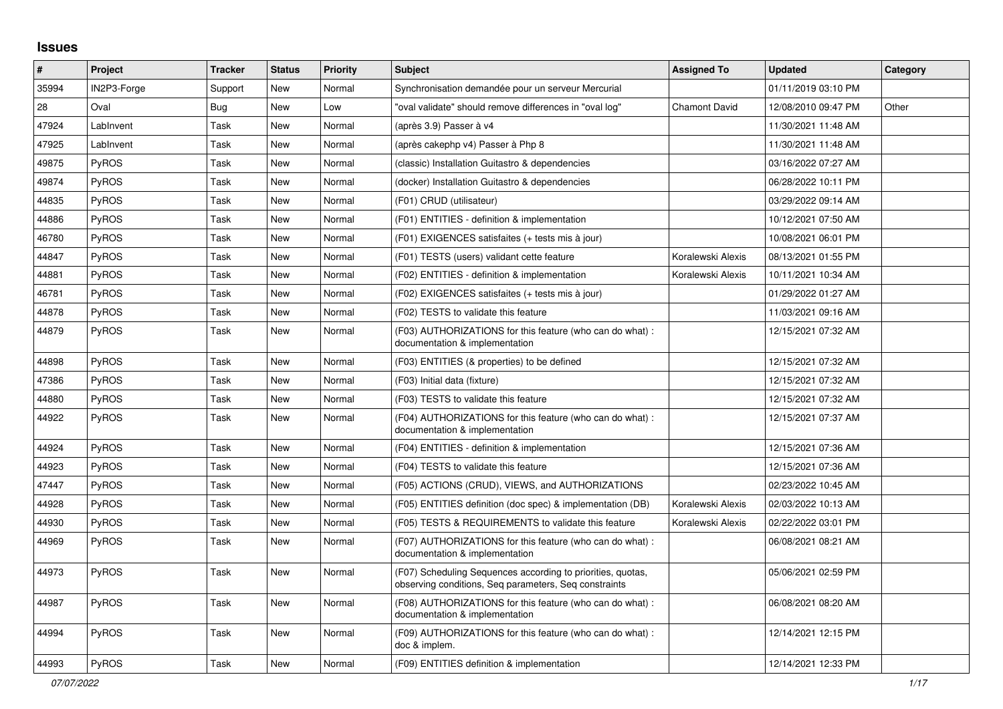## **Issues**

| $\vert$ # | Project      | <b>Tracker</b> | <b>Status</b> | <b>Priority</b> | <b>Subject</b>                                                                                                       | <b>Assigned To</b>   | <b>Updated</b>      | Category |
|-----------|--------------|----------------|---------------|-----------------|----------------------------------------------------------------------------------------------------------------------|----------------------|---------------------|----------|
| 35994     | IN2P3-Forge  | Support        | <b>New</b>    | Normal          | Synchronisation demandée pour un serveur Mercurial                                                                   |                      | 01/11/2019 03:10 PM |          |
| 28        | Oval         | Bug            | <b>New</b>    | Low             | "oval validate" should remove differences in "oval log"                                                              | <b>Chamont David</b> | 12/08/2010 09:47 PM | Other    |
| 47924     | LabInvent    | Task           | <b>New</b>    | Normal          | (après 3.9) Passer à v4                                                                                              |                      | 11/30/2021 11:48 AM |          |
| 47925     | LabInvent    | Task           | New           | Normal          | (après cakephp v4) Passer à Php 8                                                                                    |                      | 11/30/2021 11:48 AM |          |
| 49875     | PyROS        | Task           | New           | Normal          | (classic) Installation Guitastro & dependencies                                                                      |                      | 03/16/2022 07:27 AM |          |
| 49874     | PyROS        | Task           | New           | Normal          | (docker) Installation Guitastro & dependencies                                                                       |                      | 06/28/2022 10:11 PM |          |
| 44835     | <b>PyROS</b> | Task           | <b>New</b>    | Normal          | (F01) CRUD (utilisateur)                                                                                             |                      | 03/29/2022 09:14 AM |          |
| 44886     | <b>PyROS</b> | Task           | New           | Normal          | (F01) ENTITIES - definition & implementation                                                                         |                      | 10/12/2021 07:50 AM |          |
| 46780     | <b>PyROS</b> | Task           | <b>New</b>    | Normal          | (F01) EXIGENCES satisfaites (+ tests mis à jour)                                                                     |                      | 10/08/2021 06:01 PM |          |
| 44847     | PyROS        | Task           | <b>New</b>    | Normal          | (F01) TESTS (users) validant cette feature                                                                           | Koralewski Alexis    | 08/13/2021 01:55 PM |          |
| 44881     | PyROS        | Task           | <b>New</b>    | Normal          | (F02) ENTITIES - definition & implementation                                                                         | Koralewski Alexis    | 10/11/2021 10:34 AM |          |
| 46781     | PyROS        | Task           | <b>New</b>    | Normal          | (F02) EXIGENCES satisfaites (+ tests mis à jour)                                                                     |                      | 01/29/2022 01:27 AM |          |
| 44878     | PyROS        | Task           | New           | Normal          | (F02) TESTS to validate this feature                                                                                 |                      | 11/03/2021 09:16 AM |          |
| 44879     | <b>PyROS</b> | Task           | New           | Normal          | (F03) AUTHORIZATIONS for this feature (who can do what):<br>documentation & implementation                           |                      | 12/15/2021 07:32 AM |          |
| 44898     | PyROS        | Task           | <b>New</b>    | Normal          | (F03) ENTITIES (& properties) to be defined                                                                          |                      | 12/15/2021 07:32 AM |          |
| 47386     | <b>PyROS</b> | Task           | New           | Normal          | (F03) Initial data (fixture)                                                                                         |                      | 12/15/2021 07:32 AM |          |
| 44880     | PyROS        | Task           | <b>New</b>    | Normal          | (F03) TESTS to validate this feature                                                                                 |                      | 12/15/2021 07:32 AM |          |
| 44922     | PyROS        | Task           | <b>New</b>    | Normal          | (F04) AUTHORIZATIONS for this feature (who can do what) :<br>documentation & implementation                          |                      | 12/15/2021 07:37 AM |          |
| 44924     | PyROS        | Task           | <b>New</b>    | Normal          | (F04) ENTITIES - definition & implementation                                                                         |                      | 12/15/2021 07:36 AM |          |
| 44923     | PyROS        | Task           | <b>New</b>    | Normal          | (F04) TESTS to validate this feature                                                                                 |                      | 12/15/2021 07:36 AM |          |
| 47447     | <b>PyROS</b> | Task           | New           | Normal          | (F05) ACTIONS (CRUD), VIEWS, and AUTHORIZATIONS                                                                      |                      | 02/23/2022 10:45 AM |          |
| 44928     | PyROS        | Task           | <b>New</b>    | Normal          | (F05) ENTITIES definition (doc spec) & implementation (DB)                                                           | Koralewski Alexis    | 02/03/2022 10:13 AM |          |
| 44930     | PyROS        | Task           | <b>New</b>    | Normal          | (F05) TESTS & REQUIREMENTS to validate this feature                                                                  | Koralewski Alexis    | 02/22/2022 03:01 PM |          |
| 44969     | PyROS        | Task           | New           | Normal          | (F07) AUTHORIZATIONS for this feature (who can do what) :<br>documentation & implementation                          |                      | 06/08/2021 08:21 AM |          |
| 44973     | PyROS        | Task           | New           | Normal          | (F07) Scheduling Sequences according to priorities, quotas,<br>observing conditions, Seq parameters, Seq constraints |                      | 05/06/2021 02:59 PM |          |
| 44987     | PyROS        | Task           | <b>New</b>    | Normal          | (F08) AUTHORIZATIONS for this feature (who can do what) :<br>documentation & implementation                          |                      | 06/08/2021 08:20 AM |          |
| 44994     | PyROS        | Task           | New           | Normal          | (F09) AUTHORIZATIONS for this feature (who can do what) :<br>doc & implem.                                           |                      | 12/14/2021 12:15 PM |          |
| 44993     | PyROS        | Task           | New           | Normal          | (F09) ENTITIES definition & implementation                                                                           |                      | 12/14/2021 12:33 PM |          |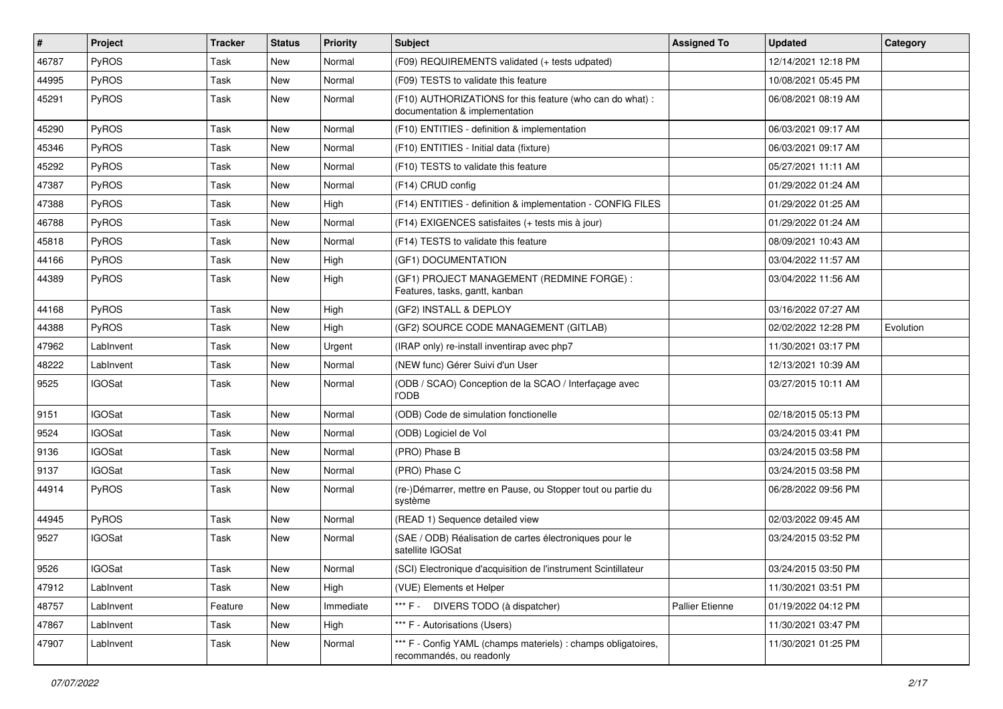| $\sharp$ | Project       | <b>Tracker</b> | <b>Status</b> | <b>Priority</b> | <b>Subject</b>                                                                              | <b>Assigned To</b> | <b>Updated</b>      | Category  |
|----------|---------------|----------------|---------------|-----------------|---------------------------------------------------------------------------------------------|--------------------|---------------------|-----------|
| 46787    | PyROS         | Task           | New           | Normal          | (F09) REQUIREMENTS validated (+ tests udpated)                                              |                    | 12/14/2021 12:18 PM |           |
| 44995    | PyROS         | Task           | New           | Normal          | (F09) TESTS to validate this feature                                                        |                    | 10/08/2021 05:45 PM |           |
| 45291    | PyROS         | Task           | New           | Normal          | (F10) AUTHORIZATIONS for this feature (who can do what) :<br>documentation & implementation |                    | 06/08/2021 08:19 AM |           |
| 45290    | PyROS         | Task           | New           | Normal          | (F10) ENTITIES - definition & implementation                                                |                    | 06/03/2021 09:17 AM |           |
| 45346    | <b>PyROS</b>  | Task           | New           | Normal          | (F10) ENTITIES - Initial data (fixture)                                                     |                    | 06/03/2021 09:17 AM |           |
| 45292    | PyROS         | Task           | <b>New</b>    | Normal          | (F10) TESTS to validate this feature                                                        |                    | 05/27/2021 11:11 AM |           |
| 47387    | PyROS         | Task           | New           | Normal          | (F14) CRUD config                                                                           |                    | 01/29/2022 01:24 AM |           |
| 47388    | PyROS         | Task           | New           | High            | (F14) ENTITIES - definition & implementation - CONFIG FILES                                 |                    | 01/29/2022 01:25 AM |           |
| 46788    | PyROS         | Task           | New           | Normal          | (F14) EXIGENCES satisfaites (+ tests mis à jour)                                            |                    | 01/29/2022 01:24 AM |           |
| 45818    | <b>PyROS</b>  | Task           | New           | Normal          | (F14) TESTS to validate this feature                                                        |                    | 08/09/2021 10:43 AM |           |
| 44166    | PyROS         | Task           | New           | High            | (GF1) DOCUMENTATION                                                                         |                    | 03/04/2022 11:57 AM |           |
| 44389    | <b>PyROS</b>  | Task           | New           | High            | (GF1) PROJECT MANAGEMENT (REDMINE FORGE) :<br>Features, tasks, gantt, kanban                |                    | 03/04/2022 11:56 AM |           |
| 44168    | PyROS         | Task           | <b>New</b>    | High            | (GF2) INSTALL & DEPLOY                                                                      |                    | 03/16/2022 07:27 AM |           |
| 44388    | PyROS         | Task           | New           | High            | (GF2) SOURCE CODE MANAGEMENT (GITLAB)                                                       |                    | 02/02/2022 12:28 PM | Evolution |
| 47962    | LabInvent     | Task           | New           | Urgent          | (IRAP only) re-install inventirap avec php7                                                 |                    | 11/30/2021 03:17 PM |           |
| 48222    | LabInvent     | Task           | New           | Normal          | (NEW func) Gérer Suivi d'un User                                                            |                    | 12/13/2021 10:39 AM |           |
| 9525     | <b>IGOSat</b> | Task           | New           | Normal          | (ODB / SCAO) Conception de la SCAO / Interfaçage avec<br><b>l'ODB</b>                       |                    | 03/27/2015 10:11 AM |           |
| 9151     | <b>IGOSat</b> | Task           | New           | Normal          | (ODB) Code de simulation fonctionelle                                                       |                    | 02/18/2015 05:13 PM |           |
| 9524     | <b>IGOSat</b> | Task           | New           | Normal          | (ODB) Logiciel de Vol                                                                       |                    | 03/24/2015 03:41 PM |           |
| 9136     | <b>IGOSat</b> | Task           | New           | Normal          | (PRO) Phase B                                                                               |                    | 03/24/2015 03:58 PM |           |
| 9137     | <b>IGOSat</b> | Task           | New           | Normal          | (PRO) Phase C                                                                               |                    | 03/24/2015 03:58 PM |           |
| 44914    | PyROS         | Task           | New           | Normal          | (re-)Démarrer, mettre en Pause, ou Stopper tout ou partie du<br>système                     |                    | 06/28/2022 09:56 PM |           |
| 44945    | PyROS         | Task           | New           | Normal          | (READ 1) Sequence detailed view                                                             |                    | 02/03/2022 09:45 AM |           |
| 9527     | <b>IGOSat</b> | Task           | New           | Normal          | (SAE / ODB) Réalisation de cartes électroniques pour le<br>satellite IGOSat                 |                    | 03/24/2015 03:52 PM |           |
| 9526     | IGOSat        | Task           | New           | Normal          | (SCI) Electronique d'acquisition de l'instrument Scintillateur                              |                    | 03/24/2015 03:50 PM |           |
| 47912    | LabInvent     | Task           | New           | High            | (VUE) Elements et Helper                                                                    |                    | 11/30/2021 03:51 PM |           |
| 48757    | LabInvent     | Feature        | New           | Immediate       | *** F - DIVERS TODO (à dispatcher)                                                          | Pallier Etienne    | 01/19/2022 04:12 PM |           |
| 47867    | LabInvent     | Task           | New           | High            | *** F - Autorisations (Users)                                                               |                    | 11/30/2021 03:47 PM |           |
| 47907    | LabInvent     | Task           | New           | Normal          | *** F - Config YAML (champs materiels) : champs obligatoires,<br>recommandés, ou readonly   |                    | 11/30/2021 01:25 PM |           |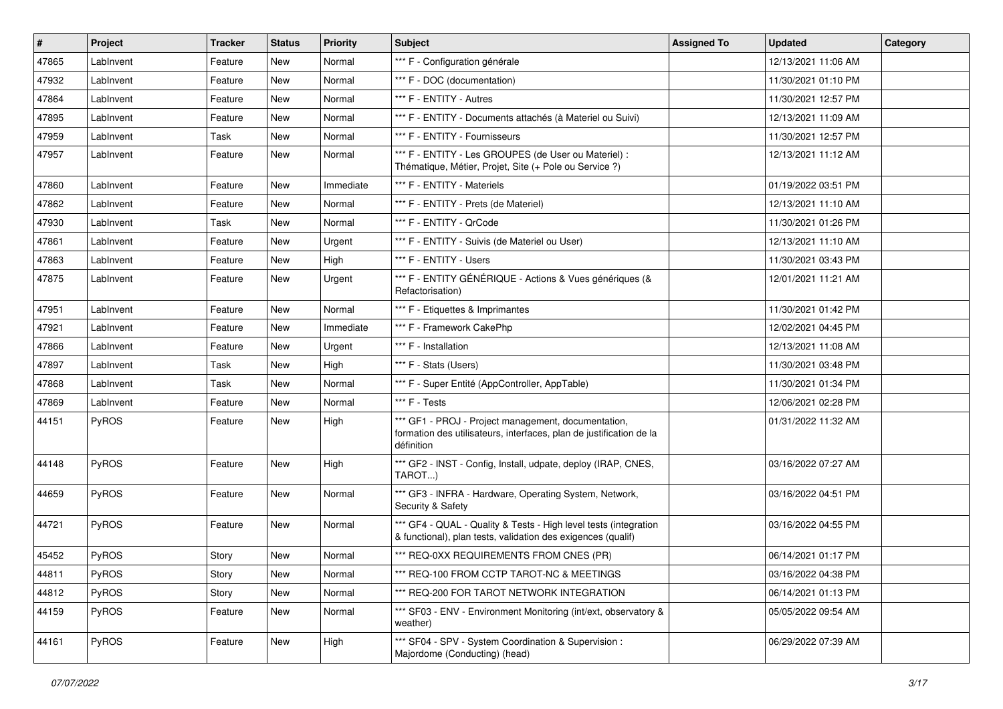| $\sharp$ | <b>Project</b> | <b>Tracker</b> | <b>Status</b> | <b>Priority</b> | <b>Subject</b>                                                                                                                           | <b>Assigned To</b> | <b>Updated</b>      | Category |
|----------|----------------|----------------|---------------|-----------------|------------------------------------------------------------------------------------------------------------------------------------------|--------------------|---------------------|----------|
| 47865    | LabInvent      | Feature        | New           | Normal          | *** F - Configuration générale                                                                                                           |                    | 12/13/2021 11:06 AM |          |
| 47932    | LabInvent      | Feature        | New           | Normal          | *** F - DOC (documentation)                                                                                                              |                    | 11/30/2021 01:10 PM |          |
| 47864    | LabInvent      | Feature        | New           | Normal          | *** F - ENTITY - Autres                                                                                                                  |                    | 11/30/2021 12:57 PM |          |
| 47895    | LabInvent      | Feature        | New           | Normal          | *** F - ENTITY - Documents attachés (à Materiel ou Suivi)                                                                                |                    | 12/13/2021 11:09 AM |          |
| 47959    | LabInvent      | Task           | New           | Normal          | *** F - ENTITY - Fournisseurs                                                                                                            |                    | 11/30/2021 12:57 PM |          |
| 47957    | LabInvent      | Feature        | New           | Normal          | *** F - ENTITY - Les GROUPES (de User ou Materiel) :<br>Thématique, Métier, Projet, Site (+ Pole ou Service ?)                           |                    | 12/13/2021 11:12 AM |          |
| 47860    | LabInvent      | Feature        | New           | Immediate       | *** F - ENTITY - Materiels                                                                                                               |                    | 01/19/2022 03:51 PM |          |
| 47862    | LabInvent      | Feature        | New           | Normal          | *** F - ENTITY - Prets (de Materiel)                                                                                                     |                    | 12/13/2021 11:10 AM |          |
| 47930    | LabInvent      | Task           | New           | Normal          | *** F - ENTITY - QrCode                                                                                                                  |                    | 11/30/2021 01:26 PM |          |
| 47861    | LabInvent      | Feature        | New           | Urgent          | *** F - ENTITY - Suivis (de Materiel ou User)                                                                                            |                    | 12/13/2021 11:10 AM |          |
| 47863    | LabInvent      | Feature        | New           | High            | *** F - ENTITY - Users                                                                                                                   |                    | 11/30/2021 03:43 PM |          |
| 47875    | LabInvent      | Feature        | New           | Urgent          | *** F - ENTITY GÉNÉRIQUE - Actions & Vues génériques (&<br>Refactorisation)                                                              |                    | 12/01/2021 11:21 AM |          |
| 47951    | LabInvent      | Feature        | <b>New</b>    | Normal          | *** F - Etiquettes & Imprimantes                                                                                                         |                    | 11/30/2021 01:42 PM |          |
| 47921    | LabInvent      | Feature        | New           | Immediate       | *** F - Framework CakePhp                                                                                                                |                    | 12/02/2021 04:45 PM |          |
| 47866    | LabInvent      | Feature        | New           | Urgent          | *** F - Installation                                                                                                                     |                    | 12/13/2021 11:08 AM |          |
| 47897    | LabInvent      | Task           | New           | High            | *** F - Stats (Users)                                                                                                                    |                    | 11/30/2021 03:48 PM |          |
| 47868    | LabInvent      | Task           | New           | Normal          | *** F - Super Entité (AppController, AppTable)                                                                                           |                    | 11/30/2021 01:34 PM |          |
| 47869    | LabInvent      | Feature        | <b>New</b>    | Normal          | *** F - Tests                                                                                                                            |                    | 12/06/2021 02:28 PM |          |
| 44151    | <b>PyROS</b>   | Feature        | New           | High            | *** GF1 - PROJ - Project management, documentation,<br>formation des utilisateurs, interfaces, plan de justification de la<br>définition |                    | 01/31/2022 11:32 AM |          |
| 44148    | PyROS          | Feature        | New           | High            | *** GF2 - INST - Config, Install, udpate, deploy (IRAP, CNES,<br>TAROT)                                                                  |                    | 03/16/2022 07:27 AM |          |
| 44659    | PyROS          | Feature        | New           | Normal          | *** GF3 - INFRA - Hardware, Operating System, Network,<br>Security & Safety                                                              |                    | 03/16/2022 04:51 PM |          |
| 44721    | PyROS          | Feature        | New           | Normal          | *** GF4 - QUAL - Quality & Tests - High level tests (integration<br>& functional), plan tests, validation des exigences (qualif)         |                    | 03/16/2022 04:55 PM |          |
| 45452    | <b>PyROS</b>   | Story          | New           | Normal          | *** REQ-0XX REQUIREMENTS FROM CNES (PR)                                                                                                  |                    | 06/14/2021 01:17 PM |          |
| 44811    | PyROS          | Story          | New           | Normal          | *** REQ-100 FROM CCTP TAROT-NC & MEETINGS                                                                                                |                    | 03/16/2022 04:38 PM |          |
| 44812    | PyROS          | Story          | New           | Normal          | *** REQ-200 FOR TAROT NETWORK INTEGRATION                                                                                                |                    | 06/14/2021 01:13 PM |          |
| 44159    | PyROS          | Feature        | New           | Normal          | *** SF03 - ENV - Environment Monitoring (int/ext, observatory &<br>weather)                                                              |                    | 05/05/2022 09:54 AM |          |
| 44161    | PyROS          | Feature        | New           | High            | *** SF04 - SPV - System Coordination & Supervision :<br>Majordome (Conducting) (head)                                                    |                    | 06/29/2022 07:39 AM |          |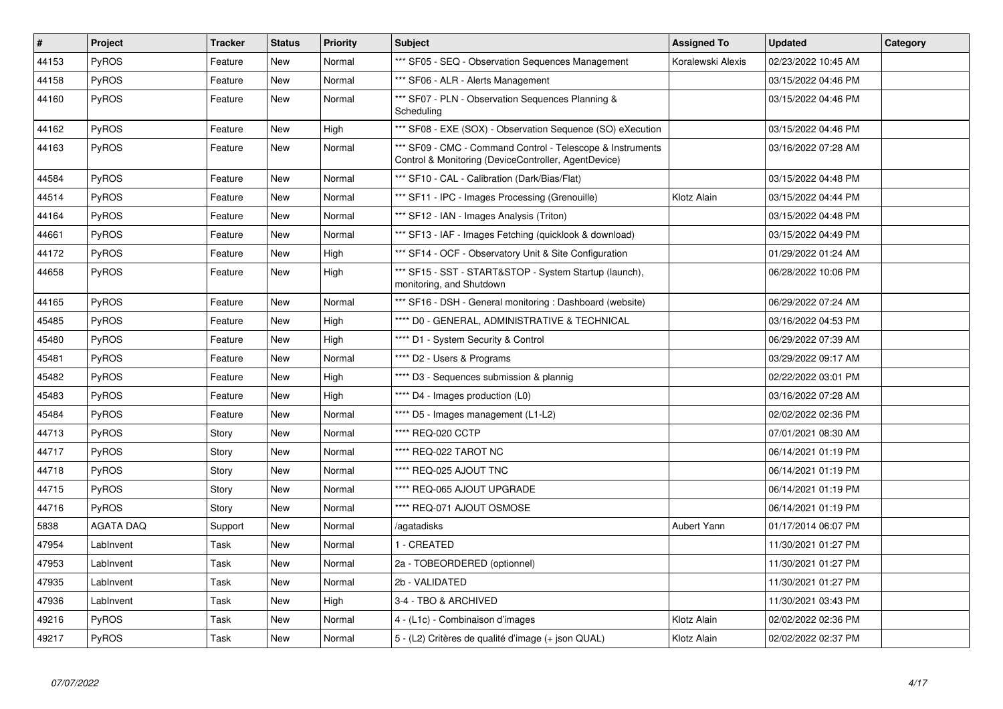| #     | Project          | <b>Tracker</b> | <b>Status</b> | Priority | <b>Subject</b>                                                                                                     | <b>Assigned To</b> | <b>Updated</b>      | Category |
|-------|------------------|----------------|---------------|----------|--------------------------------------------------------------------------------------------------------------------|--------------------|---------------------|----------|
| 44153 | <b>PyROS</b>     | Feature        | New           | Normal   | *** SF05 - SEQ - Observation Sequences Management                                                                  | Koralewski Alexis  | 02/23/2022 10:45 AM |          |
| 44158 | <b>PyROS</b>     | Feature        | <b>New</b>    | Normal   | *** SF06 - ALR - Alerts Management                                                                                 |                    | 03/15/2022 04:46 PM |          |
| 44160 | <b>PyROS</b>     | Feature        | New           | Normal   | *** SF07 - PLN - Observation Sequences Planning &<br>Scheduling                                                    |                    | 03/15/2022 04:46 PM |          |
| 44162 | <b>PyROS</b>     | Feature        | New           | High     | *** SF08 - EXE (SOX) - Observation Sequence (SO) eXecution                                                         |                    | 03/15/2022 04:46 PM |          |
| 44163 | PyROS            | Feature        | <b>New</b>    | Normal   | *** SF09 - CMC - Command Control - Telescope & Instruments<br>Control & Monitoring (DeviceController, AgentDevice) |                    | 03/16/2022 07:28 AM |          |
| 44584 | <b>PyROS</b>     | Feature        | New           | Normal   | *** SF10 - CAL - Calibration (Dark/Bias/Flat)                                                                      |                    | 03/15/2022 04:48 PM |          |
| 44514 | <b>PyROS</b>     | Feature        | New           | Normal   | *** SF11 - IPC - Images Processing (Grenouille)                                                                    | Klotz Alain        | 03/15/2022 04:44 PM |          |
| 44164 | <b>PyROS</b>     | Feature        | New           | Normal   | *** SF12 - IAN - Images Analysis (Triton)                                                                          |                    | 03/15/2022 04:48 PM |          |
| 44661 | <b>PyROS</b>     | Feature        | <b>New</b>    | Normal   | *** SF13 - IAF - Images Fetching (quicklook & download)                                                            |                    | 03/15/2022 04:49 PM |          |
| 44172 | PyROS            | Feature        | New           | High     | *** SF14 - OCF - Observatory Unit & Site Configuration                                                             |                    | 01/29/2022 01:24 AM |          |
| 44658 | PyROS            | Feature        | New           | High     | *** SF15 - SST - START&STOP - System Startup (launch),<br>monitoring, and Shutdown                                 |                    | 06/28/2022 10:06 PM |          |
| 44165 | <b>PyROS</b>     | Feature        | <b>New</b>    | Normal   | *** SF16 - DSH - General monitoring : Dashboard (website)                                                          |                    | 06/29/2022 07:24 AM |          |
| 45485 | PyROS            | Feature        | New           | High     | **** D0 - GENERAL, ADMINISTRATIVE & TECHNICAL                                                                      |                    | 03/16/2022 04:53 PM |          |
| 45480 | PyROS            | Feature        | <b>New</b>    | High     | **** D1 - System Security & Control                                                                                |                    | 06/29/2022 07:39 AM |          |
| 45481 | <b>PyROS</b>     | Feature        | New           | Normal   | **** D2 - Users & Programs                                                                                         |                    | 03/29/2022 09:17 AM |          |
| 45482 | <b>PyROS</b>     | Feature        | <b>New</b>    | High     | **** D3 - Sequences submission & plannig                                                                           |                    | 02/22/2022 03:01 PM |          |
| 45483 | PyROS            | Feature        | New           | High     | **** D4 - Images production (L0)                                                                                   |                    | 03/16/2022 07:28 AM |          |
| 45484 | <b>PyROS</b>     | Feature        | New           | Normal   | **** D5 - Images management (L1-L2)                                                                                |                    | 02/02/2022 02:36 PM |          |
| 44713 | <b>PyROS</b>     | Story          | <b>New</b>    | Normal   | **** REQ-020 CCTP                                                                                                  |                    | 07/01/2021 08:30 AM |          |
| 44717 | <b>PyROS</b>     | Story          | New           | Normal   | **** REQ-022 TAROT NC                                                                                              |                    | 06/14/2021 01:19 PM |          |
| 44718 | PyROS            | Story          | <b>New</b>    | Normal   | **** REQ-025 AJOUT TNC                                                                                             |                    | 06/14/2021 01:19 PM |          |
| 44715 | <b>PyROS</b>     | Story          | New           | Normal   | **** REQ-065 AJOUT UPGRADE                                                                                         |                    | 06/14/2021 01:19 PM |          |
| 44716 | <b>PyROS</b>     | Story          | <b>New</b>    | Normal   | **** REQ-071 AJOUT OSMOSE                                                                                          |                    | 06/14/2021 01:19 PM |          |
| 5838  | <b>AGATA DAQ</b> | Support        | New           | Normal   | /agatadisks                                                                                                        | Aubert Yann        | 01/17/2014 06:07 PM |          |
| 47954 | LabInvent        | Task           | New           | Normal   | 1 - CREATED                                                                                                        |                    | 11/30/2021 01:27 PM |          |
| 47953 | LabInvent        | Task           | New           | Normal   | 2a - TOBEORDERED (optionnel)                                                                                       |                    | 11/30/2021 01:27 PM |          |
| 47935 | LabInvent        | Task           | New           | Normal   | 2b - VALIDATED                                                                                                     |                    | 11/30/2021 01:27 PM |          |
| 47936 | LabInvent        | Task           | New           | High     | 3-4 - TBO & ARCHIVED                                                                                               |                    | 11/30/2021 03:43 PM |          |
| 49216 | PyROS            | Task           | New           | Normal   | 4 - (L1c) - Combinaison d'images                                                                                   | Klotz Alain        | 02/02/2022 02:36 PM |          |
| 49217 | PyROS            | Task           | <b>New</b>    | Normal   | 5 - (L2) Critères de qualité d'image (+ json QUAL)                                                                 | Klotz Alain        | 02/02/2022 02:37 PM |          |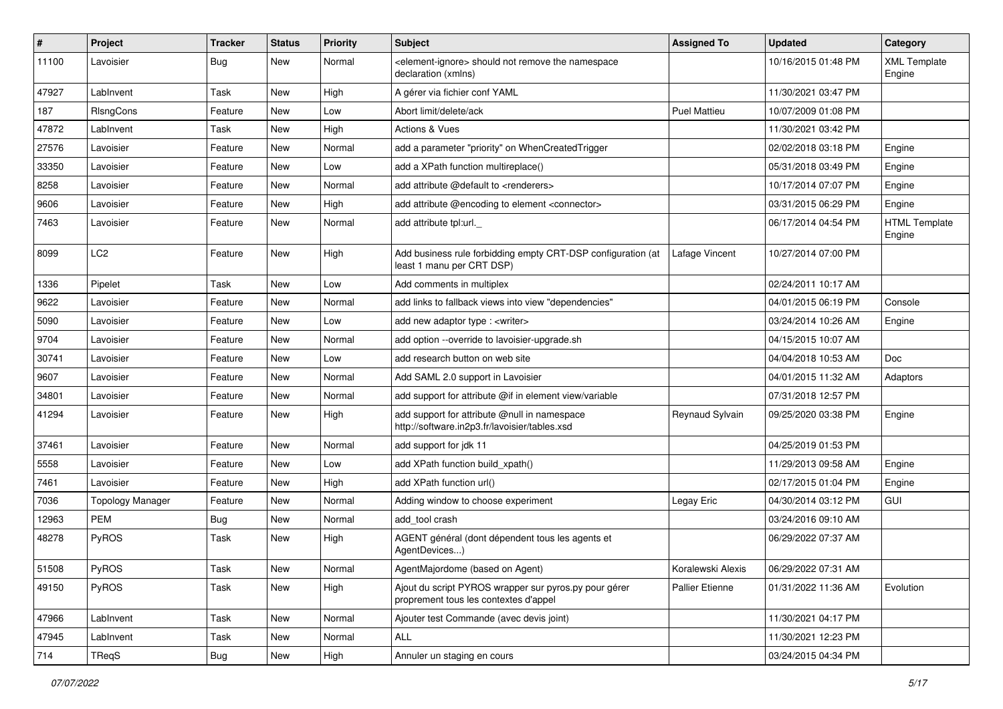| #     | Project                 | <b>Tracker</b> | <b>Status</b> | <b>Priority</b> | Subject                                                                                        | <b>Assigned To</b>     | <b>Updated</b>      | Category                       |
|-------|-------------------------|----------------|---------------|-----------------|------------------------------------------------------------------------------------------------|------------------------|---------------------|--------------------------------|
| 11100 | Lavoisier               | Bug            | New           | Normal          | <element-ignore> should not remove the namespace<br/>declaration (xmlns)</element-ignore>      |                        | 10/16/2015 01:48 PM | <b>XML Template</b><br>Engine  |
| 47927 | LabInvent               | Task           | New           | High            | A gérer via fichier conf YAML                                                                  |                        | 11/30/2021 03:47 PM |                                |
| 187   | RIsngCons               | Feature        | New           | Low             | Abort limit/delete/ack                                                                         | <b>Puel Mattieu</b>    | 10/07/2009 01:08 PM |                                |
| 47872 | LabInvent               | Task           | <b>New</b>    | High            | Actions & Vues                                                                                 |                        | 11/30/2021 03:42 PM |                                |
| 27576 | Lavoisier               | Feature        | New           | Normal          | add a parameter "priority" on WhenCreatedTrigger                                               |                        | 02/02/2018 03:18 PM | Engine                         |
| 33350 | Lavoisier               | Feature        | New           | Low             | add a XPath function multireplace()                                                            |                        | 05/31/2018 03:49 PM | Engine                         |
| 8258  | Lavoisier               | Feature        | New           | Normal          | add attribute @default to <renderers></renderers>                                              |                        | 10/17/2014 07:07 PM | Engine                         |
| 9606  | Lavoisier               | Feature        | New           | High            | add attribute @encoding to element <connector></connector>                                     |                        | 03/31/2015 06:29 PM | Engine                         |
| 7463  | Lavoisier               | Feature        | New           | Normal          | add attribute tpl:url._                                                                        |                        | 06/17/2014 04:54 PM | <b>HTML Template</b><br>Engine |
| 8099  | LC <sub>2</sub>         | Feature        | New           | High            | Add business rule forbidding empty CRT-DSP configuration (at<br>least 1 manu per CRT DSP)      | Lafage Vincent         | 10/27/2014 07:00 PM |                                |
| 1336  | Pipelet                 | Task           | <b>New</b>    | Low             | Add comments in multiplex                                                                      |                        | 02/24/2011 10:17 AM |                                |
| 9622  | Lavoisier               | Feature        | New           | Normal          | add links to fallback views into view "dependencies"                                           |                        | 04/01/2015 06:19 PM | Console                        |
| 5090  | Lavoisier               | Feature        | New           | Low             | add new adaptor type : <writer></writer>                                                       |                        | 03/24/2014 10:26 AM | Engine                         |
| 9704  | Lavoisier               | Feature        | New           | Normal          | add option --override to lavoisier-upgrade.sh                                                  |                        | 04/15/2015 10:07 AM |                                |
| 30741 | Lavoisier               | Feature        | New           | Low             | add research button on web site                                                                |                        | 04/04/2018 10:53 AM | <b>Doc</b>                     |
| 9607  | Lavoisier               | Feature        | New           | Normal          | Add SAML 2.0 support in Lavoisier                                                              |                        | 04/01/2015 11:32 AM | Adaptors                       |
| 34801 | Lavoisier               | Feature        | New           | Normal          | add support for attribute @if in element view/variable                                         |                        | 07/31/2018 12:57 PM |                                |
| 41294 | Lavoisier               | Feature        | New           | High            | add support for attribute @null in namespace<br>http://software.in2p3.fr/lavoisier/tables.xsd  | Reynaud Sylvain        | 09/25/2020 03:38 PM | Engine                         |
| 37461 | Lavoisier               | Feature        | New           | Normal          | add support for jdk 11                                                                         |                        | 04/25/2019 01:53 PM |                                |
| 5558  | Lavoisier               | Feature        | New           | Low             | add XPath function build xpath()                                                               |                        | 11/29/2013 09:58 AM | Engine                         |
| 7461  | Lavoisier               | Feature        | New           | High            | add XPath function url()                                                                       |                        | 02/17/2015 01:04 PM | Engine                         |
| 7036  | <b>Topology Manager</b> | Feature        | New           | Normal          | Adding window to choose experiment                                                             | Legay Eric             | 04/30/2014 03:12 PM | GUI                            |
| 12963 | <b>PEM</b>              | <b>Bug</b>     | New           | Normal          | add tool crash                                                                                 |                        | 03/24/2016 09:10 AM |                                |
| 48278 | PyROS                   | Task           | New           | High            | AGENT général (dont dépendent tous les agents et<br>AgentDevices)                              |                        | 06/29/2022 07:37 AM |                                |
| 51508 | PyROS                   | Task           | New           | Normal          | AgentMajordome (based on Agent)                                                                | Koralewski Alexis      | 06/29/2022 07:31 AM |                                |
| 49150 | PyROS                   | Task           | New           | High            | Ajout du script PYROS wrapper sur pyros.py pour gérer<br>proprement tous les contextes d'appel | <b>Pallier Etienne</b> | 01/31/2022 11:36 AM | Evolution                      |
| 47966 | LabInvent               | Task           | New           | Normal          | Ajouter test Commande (avec devis joint)                                                       |                        | 11/30/2021 04:17 PM |                                |
| 47945 | LabInvent               | Task           | New           | Normal          | <b>ALL</b>                                                                                     |                        | 11/30/2021 12:23 PM |                                |
| 714   | TReqS                   | Bug            | New           | High            | Annuler un staging en cours                                                                    |                        | 03/24/2015 04:34 PM |                                |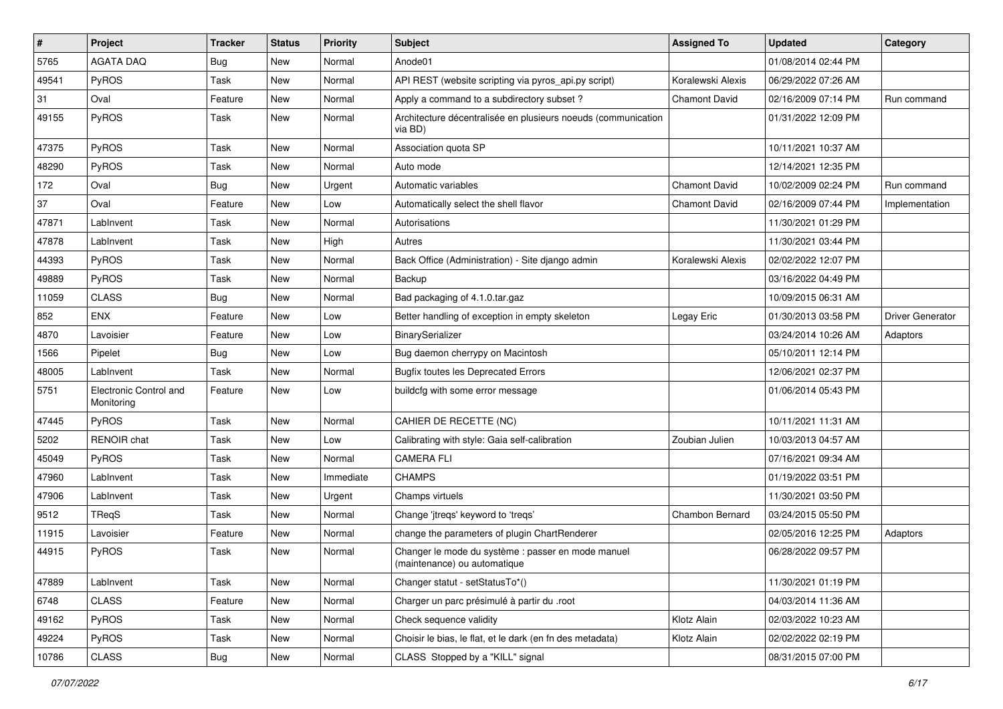| $\vert$ # | <b>Project</b>                       | <b>Tracker</b> | <b>Status</b> | <b>Priority</b> | <b>Subject</b>                                                                     | <b>Assigned To</b>   | <b>Updated</b>      | Category                |
|-----------|--------------------------------------|----------------|---------------|-----------------|------------------------------------------------------------------------------------|----------------------|---------------------|-------------------------|
| 5765      | <b>AGATA DAQ</b>                     | <b>Bug</b>     | New           | Normal          | Anode01                                                                            |                      | 01/08/2014 02:44 PM |                         |
| 49541     | PyROS                                | Task           | New           | Normal          | API REST (website scripting via pyros_api.py script)                               | Koralewski Alexis    | 06/29/2022 07:26 AM |                         |
| 31        | Oval                                 | Feature        | New           | Normal          | Apply a command to a subdirectory subset?                                          | <b>Chamont David</b> | 02/16/2009 07:14 PM | Run command             |
| 49155     | PyROS                                | Task           | New           | Normal          | Architecture décentralisée en plusieurs noeuds (communication<br>via BD)           |                      | 01/31/2022 12:09 PM |                         |
| 47375     | PyROS                                | Task           | New           | Normal          | Association quota SP                                                               |                      | 10/11/2021 10:37 AM |                         |
| 48290     | PyROS                                | Task           | <b>New</b>    | Normal          | Auto mode                                                                          |                      | 12/14/2021 12:35 PM |                         |
| 172       | Oval                                 | Bug            | New           | Urgent          | Automatic variables                                                                | <b>Chamont David</b> | 10/02/2009 02:24 PM | Run command             |
| 37        | Oval                                 | Feature        | New           | Low             | Automatically select the shell flavor                                              | Chamont David        | 02/16/2009 07:44 PM | Implementation          |
| 47871     | LabInvent                            | Task           | New           | Normal          | Autorisations                                                                      |                      | 11/30/2021 01:29 PM |                         |
| 47878     | LabInvent                            | Task           | New           | High            | Autres                                                                             |                      | 11/30/2021 03:44 PM |                         |
| 44393     | PyROS                                | Task           | New           | Normal          | Back Office (Administration) - Site diango admin                                   | Koralewski Alexis    | 02/02/2022 12:07 PM |                         |
| 49889     | PyROS                                | Task           | New           | Normal          | Backup                                                                             |                      | 03/16/2022 04:49 PM |                         |
| 11059     | <b>CLASS</b>                         | <b>Bug</b>     | New           | Normal          | Bad packaging of 4.1.0.tar.gaz                                                     |                      | 10/09/2015 06:31 AM |                         |
| 852       | ENX                                  | Feature        | New           | Low             | Better handling of exception in empty skeleton                                     | Legay Eric           | 01/30/2013 03:58 PM | <b>Driver Generator</b> |
| 4870      | Lavoisier                            | Feature        | New           | Low             | BinarySerializer                                                                   |                      | 03/24/2014 10:26 AM | Adaptors                |
| 1566      | Pipelet                              | Bug            | New           | Low             | Bug daemon cherrypy on Macintosh                                                   |                      | 05/10/2011 12:14 PM |                         |
| 48005     | LabInvent                            | Task           | New           | Normal          | <b>Bugfix toutes les Deprecated Errors</b>                                         |                      | 12/06/2021 02:37 PM |                         |
| 5751      | Electronic Control and<br>Monitoring | Feature        | New           | Low             | buildcfg with some error message                                                   |                      | 01/06/2014 05:43 PM |                         |
| 47445     | PyROS                                | Task           | New           | Normal          | CAHIER DE RECETTE (NC)                                                             |                      | 10/11/2021 11:31 AM |                         |
| 5202      | RENOIR chat                          | Task           | New           | Low             | Calibrating with style: Gaia self-calibration                                      | Zoubian Julien       | 10/03/2013 04:57 AM |                         |
| 45049     | PyROS                                | Task           | New           | Normal          | <b>CAMERA FLI</b>                                                                  |                      | 07/16/2021 09:34 AM |                         |
| 47960     | LabInvent                            | Task           | New           | Immediate       | <b>CHAMPS</b>                                                                      |                      | 01/19/2022 03:51 PM |                         |
| 47906     | LabInvent                            | Task           | New           | Urgent          | Champs virtuels                                                                    |                      | 11/30/2021 03:50 PM |                         |
| 9512      | TReqS                                | Task           | New           | Normal          | Change 'jtreqs' keyword to 'treqs'                                                 | Chambon Bernard      | 03/24/2015 05:50 PM |                         |
| 11915     | Lavoisier                            | Feature        | New           | Normal          | change the parameters of plugin ChartRenderer                                      |                      | 02/05/2016 12:25 PM | Adaptors                |
| 44915     | PyROS                                | Task           | New           | Normal          | Changer le mode du système : passer en mode manuel<br>(maintenance) ou automatique |                      | 06/28/2022 09:57 PM |                         |
| 47889     | LabInvent                            | Task           | New           | Normal          | Changer statut - setStatusTo*()                                                    |                      | 11/30/2021 01:19 PM |                         |
| 6748      | CLASS                                | Feature        | New           | Normal          | Charger un parc présimulé à partir du .root                                        |                      | 04/03/2014 11:36 AM |                         |
| 49162     | PyROS                                | Task           | New           | Normal          | Check sequence validity                                                            | Klotz Alain          | 02/03/2022 10:23 AM |                         |
| 49224     | PyROS                                | Task           | New           | Normal          | Choisir le bias, le flat, et le dark (en fn des metadata)                          | Klotz Alain          | 02/02/2022 02:19 PM |                         |
| 10786     | CLASS                                | Bug            | New           | Normal          | CLASS Stopped by a "KILL" signal                                                   |                      | 08/31/2015 07:00 PM |                         |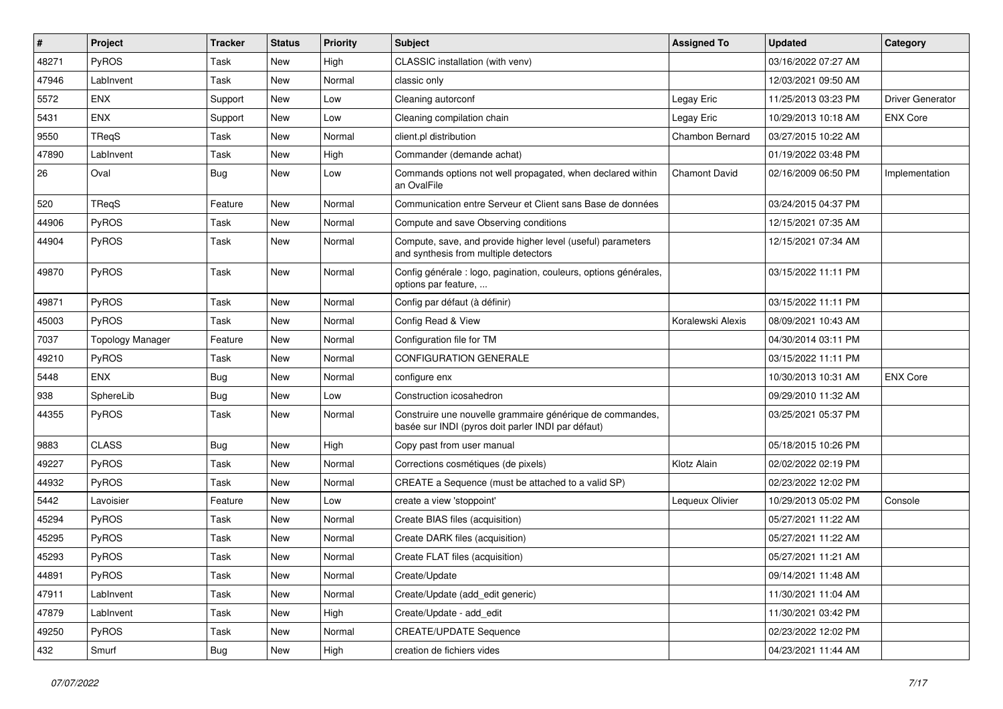| #     | Project                 | <b>Tracker</b> | <b>Status</b> | <b>Priority</b> | <b>Subject</b>                                                                                                  | <b>Assigned To</b>   | <b>Updated</b>      | Category                |
|-------|-------------------------|----------------|---------------|-----------------|-----------------------------------------------------------------------------------------------------------------|----------------------|---------------------|-------------------------|
| 48271 | PyROS                   | Task           | New           | High            | CLASSIC installation (with venv)                                                                                |                      | 03/16/2022 07:27 AM |                         |
| 47946 | LabInvent               | Task           | <b>New</b>    | Normal          | classic only                                                                                                    |                      | 12/03/2021 09:50 AM |                         |
| 5572  | <b>ENX</b>              | Support        | New           | Low             | Cleaning autorconf                                                                                              | Legay Eric           | 11/25/2013 03:23 PM | <b>Driver Generator</b> |
| 5431  | <b>ENX</b>              | Support        | New           | Low             | Cleaning compilation chain                                                                                      | Legay Eric           | 10/29/2013 10:18 AM | <b>ENX Core</b>         |
| 9550  | TRegS                   | Task           | <b>New</b>    | Normal          | client.pl distribution                                                                                          | Chambon Bernard      | 03/27/2015 10:22 AM |                         |
| 47890 | LabInvent               | Task           | <b>New</b>    | High            | Commander (demande achat)                                                                                       |                      | 01/19/2022 03:48 PM |                         |
| 26    | Oval                    | <b>Bug</b>     | New           | Low             | Commands options not well propagated, when declared within<br>an OvalFile                                       | <b>Chamont David</b> | 02/16/2009 06:50 PM | Implementation          |
| 520   | TRegS                   | Feature        | New           | Normal          | Communication entre Serveur et Client sans Base de données                                                      |                      | 03/24/2015 04:37 PM |                         |
| 44906 | PyROS                   | Task           | New           | Normal          | Compute and save Observing conditions                                                                           |                      | 12/15/2021 07:35 AM |                         |
| 44904 | PyROS                   | Task           | New           | Normal          | Compute, save, and provide higher level (useful) parameters<br>and synthesis from multiple detectors            |                      | 12/15/2021 07:34 AM |                         |
| 49870 | PyROS                   | Task           | <b>New</b>    | Normal          | Config générale : logo, pagination, couleurs, options générales,<br>options par feature,                        |                      | 03/15/2022 11:11 PM |                         |
| 49871 | PyROS                   | Task           | New           | Normal          | Config par défaut (à définir)                                                                                   |                      | 03/15/2022 11:11 PM |                         |
| 45003 | PyROS                   | Task           | New           | Normal          | Config Read & View                                                                                              | Koralewski Alexis    | 08/09/2021 10:43 AM |                         |
| 7037  | <b>Topology Manager</b> | Feature        | New           | Normal          | Configuration file for TM                                                                                       |                      | 04/30/2014 03:11 PM |                         |
| 49210 | PyROS                   | Task           | New           | Normal          | <b>CONFIGURATION GENERALE</b>                                                                                   |                      | 03/15/2022 11:11 PM |                         |
| 5448  | <b>ENX</b>              | <b>Bug</b>     | New           | Normal          | configure enx                                                                                                   |                      | 10/30/2013 10:31 AM | <b>ENX Core</b>         |
| 938   | SphereLib               | <b>Bug</b>     | New           | Low             | Construction icosahedron                                                                                        |                      | 09/29/2010 11:32 AM |                         |
| 44355 | PyROS                   | Task           | New           | Normal          | Construire une nouvelle grammaire générique de commandes,<br>basée sur INDI (pyros doit parler INDI par défaut) |                      | 03/25/2021 05:37 PM |                         |
| 9883  | <b>CLASS</b>            | <b>Bug</b>     | New           | High            | Copy past from user manual                                                                                      |                      | 05/18/2015 10:26 PM |                         |
| 49227 | PyROS                   | Task           | New           | Normal          | Corrections cosmétiques (de pixels)                                                                             | Klotz Alain          | 02/02/2022 02:19 PM |                         |
| 44932 | PyROS                   | Task           | <b>New</b>    | Normal          | CREATE a Sequence (must be attached to a valid SP)                                                              |                      | 02/23/2022 12:02 PM |                         |
| 5442  | Lavoisier               | Feature        | New           | Low             | create a view 'stoppoint'                                                                                       | Lequeux Olivier      | 10/29/2013 05:02 PM | Console                 |
| 45294 | <b>PyROS</b>            | Task           | New           | Normal          | Create BIAS files (acquisition)                                                                                 |                      | 05/27/2021 11:22 AM |                         |
| 45295 | PyROS                   | Task           | New           | Normal          | Create DARK files (acquisition)                                                                                 |                      | 05/27/2021 11:22 AM |                         |
| 45293 | PyROS                   | Task           | New           | Normal          | Create FLAT files (acquisition)                                                                                 |                      | 05/27/2021 11:21 AM |                         |
| 44891 | PyROS                   | Task           | New           | Normal          | Create/Update                                                                                                   |                      | 09/14/2021 11:48 AM |                         |
| 47911 | LabInvent               | Task           | New           | Normal          | Create/Update (add_edit generic)                                                                                |                      | 11/30/2021 11:04 AM |                         |
| 47879 | LabInvent               | Task           | New           | High            | Create/Update - add edit                                                                                        |                      | 11/30/2021 03:42 PM |                         |
| 49250 | PyROS                   | Task           | New           | Normal          | <b>CREATE/UPDATE Sequence</b>                                                                                   |                      | 02/23/2022 12:02 PM |                         |
| 432   | Smurf                   | Bug            | New           | High            | creation de fichiers vides                                                                                      |                      | 04/23/2021 11:44 AM |                         |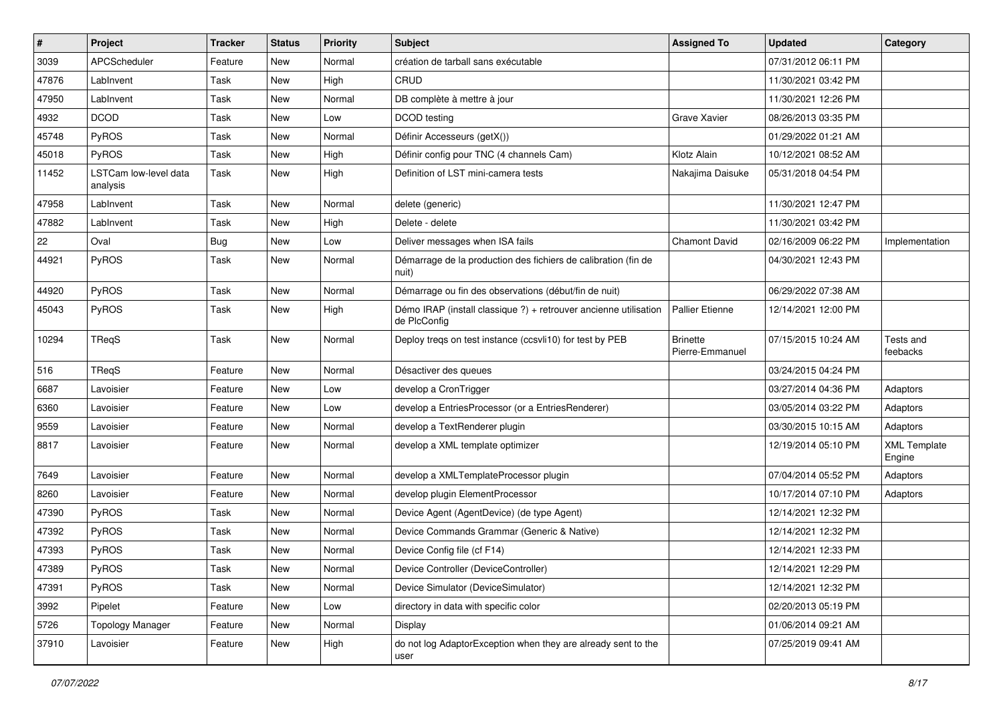| $\sharp$ | <b>Project</b>                    | <b>Tracker</b> | <b>Status</b> | <b>Priority</b> | <b>Subject</b>                                                                   | <b>Assigned To</b>                 | <b>Updated</b>      | Category                      |
|----------|-----------------------------------|----------------|---------------|-----------------|----------------------------------------------------------------------------------|------------------------------------|---------------------|-------------------------------|
| 3039     | APCScheduler                      | Feature        | New           | Normal          | création de tarball sans exécutable                                              |                                    | 07/31/2012 06:11 PM |                               |
| 47876    | LabInvent                         | Task           | <b>New</b>    | High            | CRUD                                                                             |                                    | 11/30/2021 03:42 PM |                               |
| 47950    | LabInvent                         | Task           | New           | Normal          | DB complète à mettre à jour                                                      |                                    | 11/30/2021 12:26 PM |                               |
| 4932     | <b>DCOD</b>                       | Task           | New           | Low             | DCOD testing                                                                     | Grave Xavier                       | 08/26/2013 03:35 PM |                               |
| 45748    | PyROS                             | Task           | New           | Normal          | Définir Accesseurs (getX())                                                      |                                    | 01/29/2022 01:21 AM |                               |
| 45018    | <b>PyROS</b>                      | Task           | New           | High            | Définir config pour TNC (4 channels Cam)                                         | Klotz Alain                        | 10/12/2021 08:52 AM |                               |
| 11452    | LSTCam low-level data<br>analysis | Task           | New           | High            | Definition of LST mini-camera tests                                              | Nakajima Daisuke                   | 05/31/2018 04:54 PM |                               |
| 47958    | LabInvent                         | Task           | New           | Normal          | delete (generic)                                                                 |                                    | 11/30/2021 12:47 PM |                               |
| 47882    | LabInvent                         | Task           | <b>New</b>    | High            | Delete - delete                                                                  |                                    | 11/30/2021 03:42 PM |                               |
| 22       | Oval                              | <b>Bug</b>     | New           | Low             | Deliver messages when ISA fails                                                  | <b>Chamont David</b>               | 02/16/2009 06:22 PM | Implementation                |
| 44921    | PyROS                             | Task           | New           | Normal          | Démarrage de la production des fichiers de calibration (fin de<br>nuit)          |                                    | 04/30/2021 12:43 PM |                               |
| 44920    | <b>PyROS</b>                      | Task           | <b>New</b>    | Normal          | Démarrage ou fin des observations (début/fin de nuit)                            |                                    | 06/29/2022 07:38 AM |                               |
| 45043    | PyROS                             | Task           | New           | High            | Démo IRAP (install classique ?) + retrouver ancienne utilisation<br>de PlcConfig | Pallier Etienne                    | 12/14/2021 12:00 PM |                               |
| 10294    | TReqS                             | Task           | New           | Normal          | Deploy treqs on test instance (ccsvli10) for test by PEB                         | <b>Brinette</b><br>Pierre-Emmanuel | 07/15/2015 10:24 AM | Tests and<br>feebacks         |
| 516      | TReqS                             | Feature        | New           | Normal          | Désactiver des queues                                                            |                                    | 03/24/2015 04:24 PM |                               |
| 6687     | Lavoisier                         | Feature        | New           | Low             | develop a CronTrigger                                                            |                                    | 03/27/2014 04:36 PM | Adaptors                      |
| 6360     | Lavoisier                         | Feature        | New           | Low             | develop a EntriesProcessor (or a EntriesRenderer)                                |                                    | 03/05/2014 03:22 PM | Adaptors                      |
| 9559     | Lavoisier                         | Feature        | New           | Normal          | develop a TextRenderer plugin                                                    |                                    | 03/30/2015 10:15 AM | Adaptors                      |
| 8817     | Lavoisier                         | Feature        | New           | Normal          | develop a XML template optimizer                                                 |                                    | 12/19/2014 05:10 PM | <b>XML Template</b><br>Engine |
| 7649     | Lavoisier                         | Feature        | New           | Normal          | develop a XMLTemplateProcessor plugin                                            |                                    | 07/04/2014 05:52 PM | Adaptors                      |
| 8260     | Lavoisier                         | Feature        | New           | Normal          | develop plugin ElementProcessor                                                  |                                    | 10/17/2014 07:10 PM | Adaptors                      |
| 47390    | <b>PyROS</b>                      | Task           | New           | Normal          | Device Agent (AgentDevice) (de type Agent)                                       |                                    | 12/14/2021 12:32 PM |                               |
| 47392    | PyROS                             | Task           | New           | Normal          | Device Commands Grammar (Generic & Native)                                       |                                    | 12/14/2021 12:32 PM |                               |
| 47393    | PyROS                             | Task           | New           | Normal          | Device Config file (cf F14)                                                      |                                    | 12/14/2021 12:33 PM |                               |
| 47389    | PyROS                             | Task           | New           | Normal          | Device Controller (DeviceController)                                             |                                    | 12/14/2021 12:29 PM |                               |
| 47391    | PyROS                             | Task           | New           | Normal          | Device Simulator (DeviceSimulator)                                               |                                    | 12/14/2021 12:32 PM |                               |
| 3992     | Pipelet                           | Feature        | New           | Low             | directory in data with specific color                                            |                                    | 02/20/2013 05:19 PM |                               |
| 5726     | <b>Topology Manager</b>           | Feature        | New           | Normal          | Display                                                                          |                                    | 01/06/2014 09:21 AM |                               |
| 37910    | Lavoisier                         | Feature        | New           | High            | do not log AdaptorException when they are already sent to the<br>user            |                                    | 07/25/2019 09:41 AM |                               |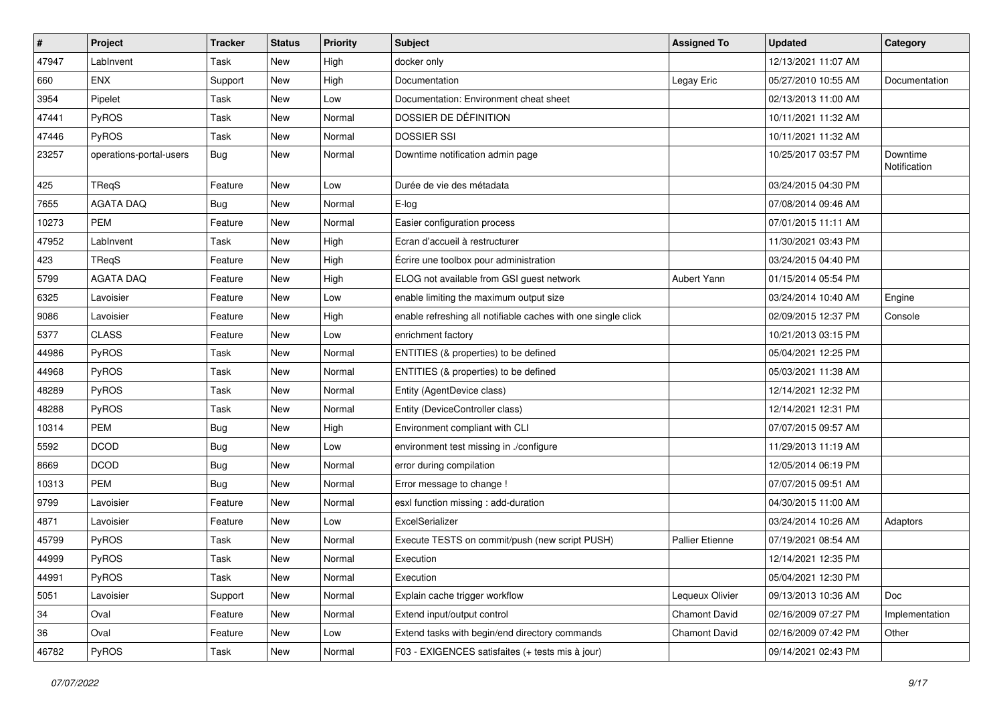| $\sharp$ | <b>Project</b>          | <b>Tracker</b> | <b>Status</b> | <b>Priority</b> | <b>Subject</b>                                                | <b>Assigned To</b>     | <b>Updated</b>      | Category                 |
|----------|-------------------------|----------------|---------------|-----------------|---------------------------------------------------------------|------------------------|---------------------|--------------------------|
| 47947    | LabInvent               | Task           | New           | High            | docker only                                                   |                        | 12/13/2021 11:07 AM |                          |
| 660      | ENX                     | Support        | New           | High            | Documentation                                                 | Legay Eric             | 05/27/2010 10:55 AM | Documentation            |
| 3954     | Pipelet                 | Task           | New           | Low             | Documentation: Environment cheat sheet                        |                        | 02/13/2013 11:00 AM |                          |
| 47441    | PyROS                   | Task           | New           | Normal          | DOSSIER DE DÉFINITION                                         |                        | 10/11/2021 11:32 AM |                          |
| 47446    | PyROS                   | Task           | New           | Normal          | <b>DOSSIER SSI</b>                                            |                        | 10/11/2021 11:32 AM |                          |
| 23257    | operations-portal-users | <b>Bug</b>     | New           | Normal          | Downtime notification admin page                              |                        | 10/25/2017 03:57 PM | Downtime<br>Notification |
| 425      | TReqS                   | Feature        | New           | Low             | Durée de vie des métadata                                     |                        | 03/24/2015 04:30 PM |                          |
| 7655     | <b>AGATA DAQ</b>        | Bug            | New           | Normal          | E-log                                                         |                        | 07/08/2014 09:46 AM |                          |
| 10273    | <b>PEM</b>              | Feature        | New           | Normal          | Easier configuration process                                  |                        | 07/01/2015 11:11 AM |                          |
| 47952    | LabInvent               | Task           | New           | High            | Ecran d'accueil à restructurer                                |                        | 11/30/2021 03:43 PM |                          |
| 423      | TReqS                   | Feature        | New           | High            | Écrire une toolbox pour administration                        |                        | 03/24/2015 04:40 PM |                          |
| 5799     | <b>AGATA DAQ</b>        | Feature        | New           | High            | ELOG not available from GSI guest network                     | Aubert Yann            | 01/15/2014 05:54 PM |                          |
| 6325     | Lavoisier               | Feature        | New           | Low             | enable limiting the maximum output size                       |                        | 03/24/2014 10:40 AM | Engine                   |
| 9086     | Lavoisier               | Feature        | New           | High            | enable refreshing all notifiable caches with one single click |                        | 02/09/2015 12:37 PM | Console                  |
| 5377     | <b>CLASS</b>            | Feature        | New           | Low             | enrichment factory                                            |                        | 10/21/2013 03:15 PM |                          |
| 44986    | PyROS                   | Task           | New           | Normal          | ENTITIES (& properties) to be defined                         |                        | 05/04/2021 12:25 PM |                          |
| 44968    | PyROS                   | Task           | New           | Normal          | ENTITIES (& properties) to be defined                         |                        | 05/03/2021 11:38 AM |                          |
| 48289    | PyROS                   | Task           | New           | Normal          | Entity (AgentDevice class)                                    |                        | 12/14/2021 12:32 PM |                          |
| 48288    | PyROS                   | Task           | New           | Normal          | Entity (DeviceController class)                               |                        | 12/14/2021 12:31 PM |                          |
| 10314    | <b>PEM</b>              | Bug            | New           | High            | Environment compliant with CLI                                |                        | 07/07/2015 09:57 AM |                          |
| 5592     | <b>DCOD</b>             | <b>Bug</b>     | New           | Low             | environment test missing in ./configure                       |                        | 11/29/2013 11:19 AM |                          |
| 8669     | <b>DCOD</b>             | <b>Bug</b>     | New           | Normal          | error during compilation                                      |                        | 12/05/2014 06:19 PM |                          |
| 10313    | <b>PEM</b>              | Bug            | New           | Normal          | Error message to change !                                     |                        | 07/07/2015 09:51 AM |                          |
| 9799     | Lavoisier               | Feature        | New           | Normal          | esxl function missing : add-duration                          |                        | 04/30/2015 11:00 AM |                          |
| 4871     | Lavoisier               | Feature        | New           | Low             | ExcelSerializer                                               |                        | 03/24/2014 10:26 AM | Adaptors                 |
| 45799    | PyROS                   | Task           | New           | Normal          | Execute TESTS on commit/push (new script PUSH)                | <b>Pallier Etienne</b> | 07/19/2021 08:54 AM |                          |
| 44999    | PyROS                   | Task           | New           | Normal          | Execution                                                     |                        | 12/14/2021 12:35 PM |                          |
| 44991    | PyROS                   | Task           | New           | Normal          | Execution                                                     |                        | 05/04/2021 12:30 PM |                          |
| 5051     | Lavoisier               | Support        | New           | Normal          | Explain cache trigger workflow                                | Lequeux Olivier        | 09/13/2013 10:36 AM | Doc                      |
| 34       | Oval                    | Feature        | New           | Normal          | Extend input/output control                                   | Chamont David          | 02/16/2009 07:27 PM | Implementation           |
| 36       | Oval                    | Feature        | New           | Low             | Extend tasks with begin/end directory commands                | Chamont David          | 02/16/2009 07:42 PM | Other                    |
| 46782    | PyROS                   | Task           | New           | Normal          | F03 - EXIGENCES satisfaites (+ tests mis à jour)              |                        | 09/14/2021 02:43 PM |                          |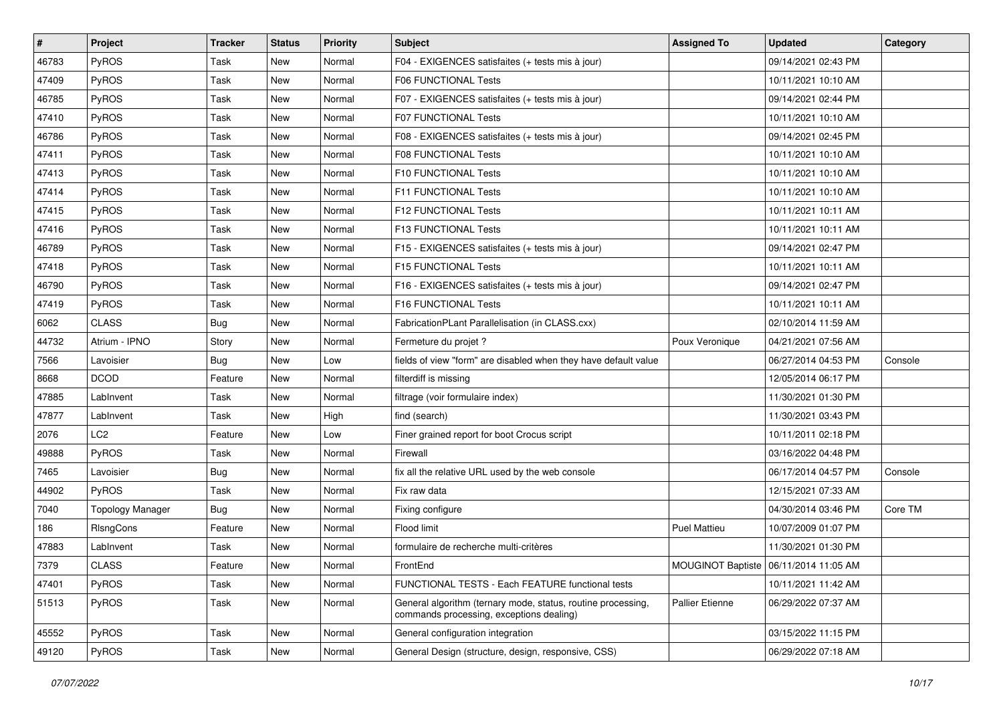| $\sharp$ | <b>Project</b>          | <b>Tracker</b> | <b>Status</b> | <b>Priority</b> | <b>Subject</b>                                                                                           | <b>Assigned To</b>  | <b>Updated</b>                          | Category |
|----------|-------------------------|----------------|---------------|-----------------|----------------------------------------------------------------------------------------------------------|---------------------|-----------------------------------------|----------|
| 46783    | PyROS                   | Task           | New           | Normal          | F04 - EXIGENCES satisfaites (+ tests mis à jour)                                                         |                     | 09/14/2021 02:43 PM                     |          |
| 47409    | PyROS                   | Task           | New           | Normal          | F06 FUNCTIONAL Tests                                                                                     |                     | 10/11/2021 10:10 AM                     |          |
| 46785    | PyROS                   | Task           | New           | Normal          | F07 - EXIGENCES satisfaites (+ tests mis à jour)                                                         |                     | 09/14/2021 02:44 PM                     |          |
| 47410    | PyROS                   | Task           | New           | Normal          | <b>F07 FUNCTIONAL Tests</b>                                                                              |                     | 10/11/2021 10:10 AM                     |          |
| 46786    | PyROS                   | Task           | New           | Normal          | F08 - EXIGENCES satisfaites (+ tests mis à jour)                                                         |                     | 09/14/2021 02:45 PM                     |          |
| 47411    | PyROS                   | Task           | <b>New</b>    | Normal          | <b>F08 FUNCTIONAL Tests</b>                                                                              |                     | 10/11/2021 10:10 AM                     |          |
| 47413    | PyROS                   | Task           | <b>New</b>    | Normal          | F10 FUNCTIONAL Tests                                                                                     |                     | 10/11/2021 10:10 AM                     |          |
| 47414    | PyROS                   | Task           | New           | Normal          | <b>F11 FUNCTIONAL Tests</b>                                                                              |                     | 10/11/2021 10:10 AM                     |          |
| 47415    | PyROS                   | Task           | New           | Normal          | F12 FUNCTIONAL Tests                                                                                     |                     | 10/11/2021 10:11 AM                     |          |
| 47416    | PyROS                   | Task           | New           | Normal          | F13 FUNCTIONAL Tests                                                                                     |                     | 10/11/2021 10:11 AM                     |          |
| 46789    | <b>PyROS</b>            | Task           | New           | Normal          | F15 - EXIGENCES satisfaites (+ tests mis à jour)                                                         |                     | 09/14/2021 02:47 PM                     |          |
| 47418    | PyROS                   | Task           | <b>New</b>    | Normal          | F15 FUNCTIONAL Tests                                                                                     |                     | 10/11/2021 10:11 AM                     |          |
| 46790    | PyROS                   | Task           | New           | Normal          | F16 - EXIGENCES satisfaites (+ tests mis à jour)                                                         |                     | 09/14/2021 02:47 PM                     |          |
| 47419    | PyROS                   | Task           | New           | Normal          | F16 FUNCTIONAL Tests                                                                                     |                     | 10/11/2021 10:11 AM                     |          |
| 6062     | <b>CLASS</b>            | <b>Bug</b>     | New           | Normal          | FabricationPLant Parallelisation (in CLASS.cxx)                                                          |                     | 02/10/2014 11:59 AM                     |          |
| 44732    | Atrium - IPNO           | Story          | New           | Normal          | Fermeture du projet ?                                                                                    | Poux Veronique      | 04/21/2021 07:56 AM                     |          |
| 7566     | Lavoisier               | <b>Bug</b>     | New           | Low             | fields of view "form" are disabled when they have default value                                          |                     | 06/27/2014 04:53 PM                     | Console  |
| 8668     | <b>DCOD</b>             | Feature        | New           | Normal          | filterdiff is missing                                                                                    |                     | 12/05/2014 06:17 PM                     |          |
| 47885    | LabInvent               | Task           | New           | Normal          | filtrage (voir formulaire index)                                                                         |                     | 11/30/2021 01:30 PM                     |          |
| 47877    | LabInvent               | Task           | New           | High            | find (search)                                                                                            |                     | 11/30/2021 03:43 PM                     |          |
| 2076     | LC <sub>2</sub>         | Feature        | New           | Low             | Finer grained report for boot Crocus script                                                              |                     | 10/11/2011 02:18 PM                     |          |
| 49888    | PyROS                   | Task           | New           | Normal          | Firewall                                                                                                 |                     | 03/16/2022 04:48 PM                     |          |
| 7465     | Lavoisier               | <b>Bug</b>     | New           | Normal          | fix all the relative URL used by the web console                                                         |                     | 06/17/2014 04:57 PM                     | Console  |
| 44902    | PyROS                   | Task           | New           | Normal          | Fix raw data                                                                                             |                     | 12/15/2021 07:33 AM                     |          |
| 7040     | <b>Topology Manager</b> | <b>Bug</b>     | New           | Normal          | Fixing configure                                                                                         |                     | 04/30/2014 03:46 PM                     | Core TM  |
| 186      | RIsngCons               | Feature        | New           | Normal          | Flood limit                                                                                              | <b>Puel Mattieu</b> | 10/07/2009 01:07 PM                     |          |
| 47883    | LabInvent               | Task           | New           | Normal          | formulaire de recherche multi-critères                                                                   |                     | 11/30/2021 01:30 PM                     |          |
| 7379     | <b>CLASS</b>            | Feature        | New           | Normal          | FrontEnd                                                                                                 |                     | MOUGINOT Baptiste   06/11/2014 11:05 AM |          |
| 47401    | PyROS                   | Task           | New           | Normal          | FUNCTIONAL TESTS - Each FEATURE functional tests                                                         |                     | 10/11/2021 11:42 AM                     |          |
| 51513    | PyROS                   | Task           | New           | Normal          | General algorithm (ternary mode, status, routine processing,<br>commands processing, exceptions dealing) | Pallier Etienne     | 06/29/2022 07:37 AM                     |          |
| 45552    | PyROS                   | Task           | New           | Normal          | General configuration integration                                                                        |                     | 03/15/2022 11:15 PM                     |          |
| 49120    | PyROS                   | Task           | New           | Normal          | General Design (structure, design, responsive, CSS)                                                      |                     | 06/29/2022 07:18 AM                     |          |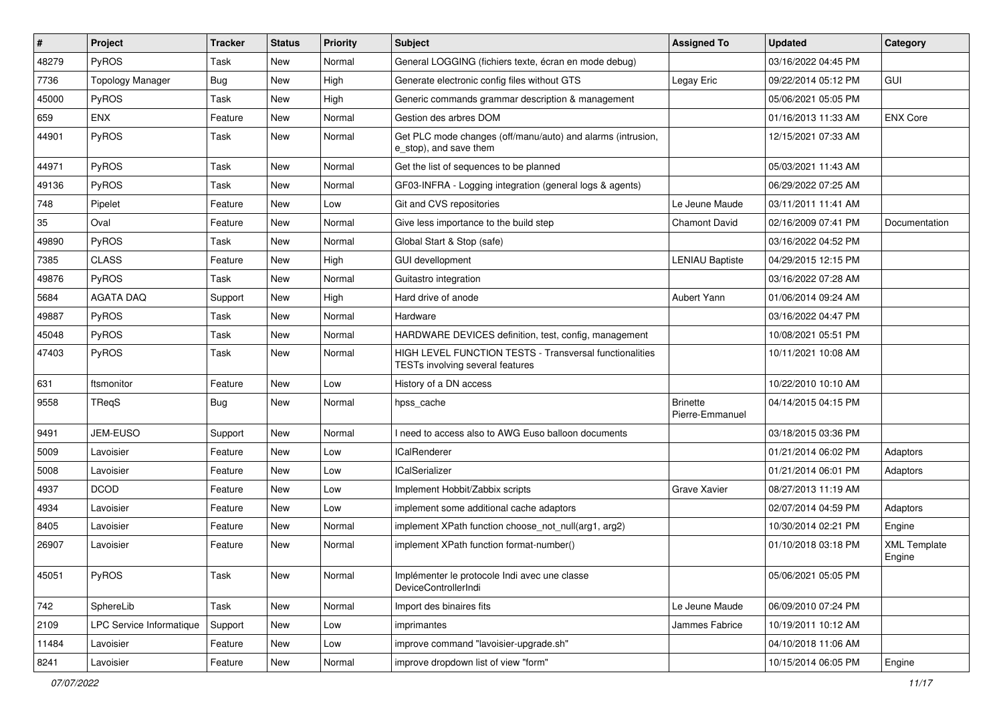| $\sharp$ | <b>Project</b>           | <b>Tracker</b> | <b>Status</b> | <b>Priority</b> | <b>Subject</b>                                                                                     | <b>Assigned To</b>                 | <b>Updated</b>      | Category                      |
|----------|--------------------------|----------------|---------------|-----------------|----------------------------------------------------------------------------------------------------|------------------------------------|---------------------|-------------------------------|
| 48279    | PyROS                    | Task           | New           | Normal          | General LOGGING (fichiers texte, écran en mode debug)                                              |                                    | 03/16/2022 04:45 PM |                               |
| 7736     | <b>Topology Manager</b>  | <b>Bug</b>     | New           | High            | Generate electronic config files without GTS                                                       | Legay Eric                         | 09/22/2014 05:12 PM | GUI                           |
| 45000    | PyROS                    | Task           | New           | High            | Generic commands grammar description & management                                                  |                                    | 05/06/2021 05:05 PM |                               |
| 659      | <b>ENX</b>               | Feature        | New           | Normal          | Gestion des arbres DOM                                                                             |                                    | 01/16/2013 11:33 AM | <b>ENX Core</b>               |
| 44901    | PyROS                    | Task           | New           | Normal          | Get PLC mode changes (off/manu/auto) and alarms (intrusion,<br>e stop), and save them              |                                    | 12/15/2021 07:33 AM |                               |
| 44971    | PyROS                    | Task           | <b>New</b>    | Normal          | Get the list of sequences to be planned                                                            |                                    | 05/03/2021 11:43 AM |                               |
| 49136    | PyROS                    | Task           | New           | Normal          | GF03-INFRA - Logging integration (general logs & agents)                                           |                                    | 06/29/2022 07:25 AM |                               |
| 748      | Pipelet                  | Feature        | New           | Low             | Git and CVS repositories                                                                           | Le Jeune Maude                     | 03/11/2011 11:41 AM |                               |
| 35       | Oval                     | Feature        | New           | Normal          | Give less importance to the build step                                                             | Chamont David                      | 02/16/2009 07:41 PM | Documentation                 |
| 49890    | PyROS                    | Task           | New           | Normal          | Global Start & Stop (safe)                                                                         |                                    | 03/16/2022 04:52 PM |                               |
| 7385     | <b>CLASS</b>             | Feature        | New           | High            | <b>GUI devellopment</b>                                                                            | <b>LENIAU Baptiste</b>             | 04/29/2015 12:15 PM |                               |
| 49876    | PyROS                    | Task           | New           | Normal          | Guitastro integration                                                                              |                                    | 03/16/2022 07:28 AM |                               |
| 5684     | <b>AGATA DAQ</b>         | Support        | New           | High            | Hard drive of anode                                                                                | Aubert Yann                        | 01/06/2014 09:24 AM |                               |
| 49887    | PyROS                    | Task           | New           | Normal          | Hardware                                                                                           |                                    | 03/16/2022 04:47 PM |                               |
| 45048    | PyROS                    | Task           | New           | Normal          | HARDWARE DEVICES definition, test, config, management                                              |                                    | 10/08/2021 05:51 PM |                               |
| 47403    | PyROS                    | Task           | New           | Normal          | <b>HIGH LEVEL FUNCTION TESTS - Transversal functionalities</b><br>TESTs involving several features |                                    | 10/11/2021 10:08 AM |                               |
| 631      | ftsmonitor               | Feature        | New           | Low             | History of a DN access                                                                             |                                    | 10/22/2010 10:10 AM |                               |
| 9558     | TReqS                    | <b>Bug</b>     | New           | Normal          | hpss_cache                                                                                         | <b>Brinette</b><br>Pierre-Emmanuel | 04/14/2015 04:15 PM |                               |
| 9491     | JEM-EUSO                 | Support        | New           | Normal          | I need to access also to AWG Euso balloon documents                                                |                                    | 03/18/2015 03:36 PM |                               |
| 5009     | Lavoisier                | Feature        | New           | Low             | <b>ICalRenderer</b>                                                                                |                                    | 01/21/2014 06:02 PM | Adaptors                      |
| 5008     | Lavoisier                | Feature        | New           | Low             | <b>ICalSerializer</b>                                                                              |                                    | 01/21/2014 06:01 PM | Adaptors                      |
| 4937     | <b>DCOD</b>              | Feature        | New           | Low             | Implement Hobbit/Zabbix scripts                                                                    | Grave Xavier                       | 08/27/2013 11:19 AM |                               |
| 4934     | Lavoisier                | Feature        | New           | Low             | implement some additional cache adaptors                                                           |                                    | 02/07/2014 04:59 PM | Adaptors                      |
| 8405     | Lavoisier                | Feature        | New           | Normal          | implement XPath function choose not null(arg1, arg2)                                               |                                    | 10/30/2014 02:21 PM | Engine                        |
| 26907    | Lavoisier                | Feature        | New           | Normal          | implement XPath function format-number()                                                           |                                    | 01/10/2018 03:18 PM | <b>XML Template</b><br>Engine |
| 45051    | PyROS                    | Task           | New           | Normal          | Implémenter le protocole Indi avec une classe<br><b>DeviceControllerIndi</b>                       |                                    | 05/06/2021 05:05 PM |                               |
| 742      | SphereLib                | Task           | New           | Normal          | Import des binaires fits                                                                           | Le Jeune Maude                     | 06/09/2010 07:24 PM |                               |
| 2109     | LPC Service Informatique | Support        | New           | Low             | imprimantes                                                                                        | Jammes Fabrice                     | 10/19/2011 10:12 AM |                               |
| 11484    | Lavoisier                | Feature        | New           | Low             | improve command "lavoisier-upgrade.sh"                                                             |                                    | 04/10/2018 11:06 AM |                               |
| 8241     | Lavoisier                | Feature        | New           | Normal          | improve dropdown list of view "form"                                                               |                                    | 10/15/2014 06:05 PM | Engine                        |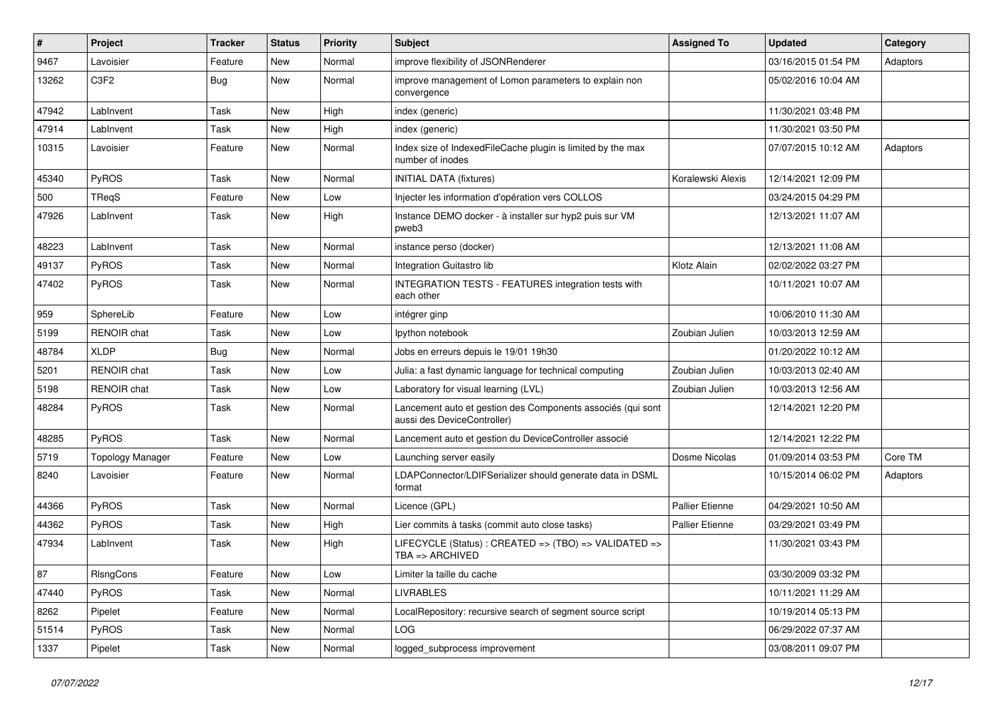| $\pmb{\#}$ | Project                 | <b>Tracker</b> | <b>Status</b> | <b>Priority</b> | <b>Subject</b>                                                                             | <b>Assigned To</b>     | <b>Updated</b>      | Category |
|------------|-------------------------|----------------|---------------|-----------------|--------------------------------------------------------------------------------------------|------------------------|---------------------|----------|
| 9467       | Lavoisier               | Feature        | New           | Normal          | improve flexibility of JSONRenderer                                                        |                        | 03/16/2015 01:54 PM | Adaptors |
| 13262      | C3F2                    | Bug            | <b>New</b>    | Normal          | improve management of Lomon parameters to explain non<br>convergence                       |                        | 05/02/2016 10:04 AM |          |
| 47942      | LabInvent               | Task           | <b>New</b>    | High            | index (generic)                                                                            |                        | 11/30/2021 03:48 PM |          |
| 47914      | LabInvent               | Task           | New           | High            | index (generic)                                                                            |                        | 11/30/2021 03:50 PM |          |
| 10315      | Lavoisier               | Feature        | New           | Normal          | Index size of IndexedFileCache plugin is limited by the max<br>number of inodes            |                        | 07/07/2015 10:12 AM | Adaptors |
| 45340      | PyROS                   | Task           | New           | Normal          | <b>INITIAL DATA (fixtures)</b>                                                             | Koralewski Alexis      | 12/14/2021 12:09 PM |          |
| 500        | <b>TRegS</b>            | Feature        | <b>New</b>    | Low             | Injecter les information d'opération vers COLLOS                                           |                        | 03/24/2015 04:29 PM |          |
| 47926      | LabInvent               | Task           | New           | High            | Instance DEMO docker - à installer sur hyp2 puis sur VM<br>pweb3                           |                        | 12/13/2021 11:07 AM |          |
| 48223      | LabInvent               | Task           | New           | Normal          | instance perso (docker)                                                                    |                        | 12/13/2021 11:08 AM |          |
| 49137      | PyROS                   | Task           | <b>New</b>    | Normal          | Integration Guitastro lib                                                                  | Klotz Alain            | 02/02/2022 03:27 PM |          |
| 47402      | PyROS                   | Task           | New           | Normal          | <b>INTEGRATION TESTS - FEATURES integration tests with</b><br>each other                   |                        | 10/11/2021 10:07 AM |          |
| 959        | SphereLib               | Feature        | New           | Low             | intégrer ginp                                                                              |                        | 10/06/2010 11:30 AM |          |
| 5199       | <b>RENOIR</b> chat      | Task           | <b>New</b>    | Low             | lpython notebook                                                                           | Zoubian Julien         | 10/03/2013 12:59 AM |          |
| 48784      | <b>XLDP</b>             | <b>Bug</b>     | <b>New</b>    | Normal          | Jobs en erreurs depuis le 19/01 19h30                                                      |                        | 01/20/2022 10:12 AM |          |
| 5201       | <b>RENOIR</b> chat      | Task           | New           | Low             | Julia: a fast dynamic language for technical computing                                     | Zoubian Julien         | 10/03/2013 02:40 AM |          |
| 5198       | <b>RENOIR</b> chat      | Task           | New           | Low             | Laboratory for visual learning (LVL)                                                       | Zoubian Julien         | 10/03/2013 12:56 AM |          |
| 48284      | PyROS                   | Task           | New           | Normal          | Lancement auto et gestion des Components associés (qui sont<br>aussi des DeviceController) |                        | 12/14/2021 12:20 PM |          |
| 48285      | <b>PyROS</b>            | Task           | New           | Normal          | Lancement auto et gestion du DeviceController associé                                      |                        | 12/14/2021 12:22 PM |          |
| 5719       | <b>Topology Manager</b> | Feature        | New           | Low             | Launching server easily                                                                    | Dosme Nicolas          | 01/09/2014 03:53 PM | Core TM  |
| 8240       | Lavoisier               | Feature        | New           | Normal          | LDAPConnector/LDIFSerializer should generate data in DSML<br>format                        |                        | 10/15/2014 06:02 PM | Adaptors |
| 44366      | PyROS                   | Task           | New           | Normal          | Licence (GPL)                                                                              | <b>Pallier Etienne</b> | 04/29/2021 10:50 AM |          |
| 44362      | PyROS                   | Task           | New           | High            | Lier commits à tasks (commit auto close tasks)                                             | <b>Pallier Etienne</b> | 03/29/2021 03:49 PM |          |
| 47934      | LabInvent               | Task           | New           | High            | LIFECYCLE (Status) : CREATED => (TBO) => VALIDATED =><br>TBA => ARCHIVED                   |                        | 11/30/2021 03:43 PM |          |
| 87         | RIsngCons               | Feature        | New           | Low             | Limiter la taille du cache                                                                 |                        | 03/30/2009 03:32 PM |          |
| 47440      | PyROS                   | Task           | New           | Normal          | <b>LIVRABLES</b>                                                                           |                        | 10/11/2021 11:29 AM |          |
| 8262       | Pipelet                 | Feature        | New           | Normal          | LocalRepository: recursive search of segment source script                                 |                        | 10/19/2014 05:13 PM |          |
| 51514      | PyROS                   | Task           | New           | Normal          | <b>LOG</b>                                                                                 |                        | 06/29/2022 07:37 AM |          |
| 1337       | Pipelet                 | Task           | New           | Normal          | logged subprocess improvement                                                              |                        | 03/08/2011 09:07 PM |          |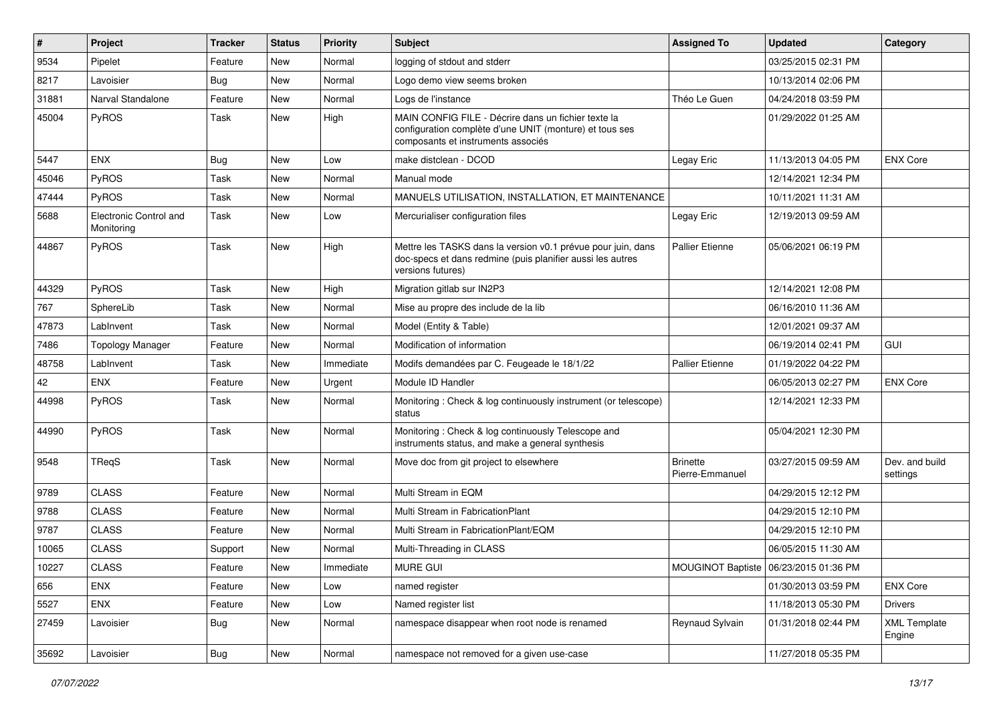| #     | Project                              | <b>Tracker</b> | <b>Status</b> | <b>Priority</b> | Subject                                                                                                                                              | <b>Assigned To</b>                 | <b>Updated</b>                          | Category                      |
|-------|--------------------------------------|----------------|---------------|-----------------|------------------------------------------------------------------------------------------------------------------------------------------------------|------------------------------------|-----------------------------------------|-------------------------------|
| 9534  | Pipelet                              | Feature        | <b>New</b>    | Normal          | logging of stdout and stderr                                                                                                                         |                                    | 03/25/2015 02:31 PM                     |                               |
| 8217  | Lavoisier                            | Bug            | New           | Normal          | Logo demo view seems broken                                                                                                                          |                                    | 10/13/2014 02:06 PM                     |                               |
| 31881 | Narval Standalone                    | Feature        | New           | Normal          | Logs de l'instance                                                                                                                                   | Théo Le Guen                       | 04/24/2018 03:59 PM                     |                               |
| 45004 | PyROS                                | Task           | New           | High            | MAIN CONFIG FILE - Décrire dans un fichier texte la<br>configuration complète d'une UNIT (monture) et tous ses<br>composants et instruments associés |                                    | 01/29/2022 01:25 AM                     |                               |
| 5447  | <b>ENX</b>                           | Bug            | <b>New</b>    | Low             | make distclean - DCOD                                                                                                                                | Legay Eric                         | 11/13/2013 04:05 PM                     | <b>ENX Core</b>               |
| 45046 | PyROS                                | Task           | New           | Normal          | Manual mode                                                                                                                                          |                                    | 12/14/2021 12:34 PM                     |                               |
| 47444 | PyROS                                | Task           | New           | Normal          | MANUELS UTILISATION, INSTALLATION, ET MAINTENANCE                                                                                                    |                                    | 10/11/2021 11:31 AM                     |                               |
| 5688  | Electronic Control and<br>Monitoring | Task           | New           | Low             | Mercurialiser configuration files                                                                                                                    | Legay Eric                         | 12/19/2013 09:59 AM                     |                               |
| 44867 | PyROS                                | Task           | New           | High            | Mettre les TASKS dans la version v0.1 prévue pour juin, dans<br>doc-specs et dans redmine (puis planifier aussi les autres<br>versions futures)      | <b>Pallier Etienne</b>             | 05/06/2021 06:19 PM                     |                               |
| 44329 | PyROS                                | Task           | <b>New</b>    | High            | Migration gitlab sur IN2P3                                                                                                                           |                                    | 12/14/2021 12:08 PM                     |                               |
| 767   | SphereLib                            | Task           | New           | Normal          | Mise au propre des include de la lib                                                                                                                 |                                    | 06/16/2010 11:36 AM                     |                               |
| 47873 | LabInvent                            | Task           | New           | Normal          | Model (Entity & Table)                                                                                                                               |                                    | 12/01/2021 09:37 AM                     |                               |
| 7486  | <b>Topology Manager</b>              | Feature        | New           | Normal          | Modification of information                                                                                                                          |                                    | 06/19/2014 02:41 PM                     | GUI                           |
| 48758 | LabInvent                            | Task           | <b>New</b>    | Immediate       | Modifs demandées par C. Feugeade le 18/1/22                                                                                                          | <b>Pallier Etienne</b>             | 01/19/2022 04:22 PM                     |                               |
| 42    | <b>ENX</b>                           | Feature        | New           | Urgent          | Module ID Handler                                                                                                                                    |                                    | 06/05/2013 02:27 PM                     | <b>ENX Core</b>               |
| 44998 | <b>PyROS</b>                         | Task           | New           | Normal          | Monitoring: Check & log continuously instrument (or telescope)<br>status                                                                             |                                    | 12/14/2021 12:33 PM                     |                               |
| 44990 | PyROS                                | Task           | <b>New</b>    | Normal          | Monitoring: Check & log continuously Telescope and<br>instruments status, and make a general synthesis                                               |                                    | 05/04/2021 12:30 PM                     |                               |
| 9548  | TReqS                                | Task           | <b>New</b>    | Normal          | Move doc from git project to elsewhere                                                                                                               | <b>Brinette</b><br>Pierre-Emmanuel | 03/27/2015 09:59 AM                     | Dev. and build<br>settings    |
| 9789  | <b>CLASS</b>                         | Feature        | New           | Normal          | Multi Stream in EQM                                                                                                                                  |                                    | 04/29/2015 12:12 PM                     |                               |
| 9788  | <b>CLASS</b>                         | Feature        | New           | Normal          | Multi Stream in FabricationPlant                                                                                                                     |                                    | 04/29/2015 12:10 PM                     |                               |
| 9787  | <b>CLASS</b>                         | Feature        | <b>New</b>    | Normal          | Multi Stream in FabricationPlant/EQM                                                                                                                 |                                    | 04/29/2015 12:10 PM                     |                               |
| 10065 | <b>CLASS</b>                         | Support        | New           | Normal          | Multi-Threading in CLASS                                                                                                                             |                                    | 06/05/2015 11:30 AM                     |                               |
| 10227 | CLASS                                | Feature        | New           | Immediate       | MURE GUI                                                                                                                                             |                                    | MOUGINOT Baptiste   06/23/2015 01:36 PM |                               |
| 656   | <b>ENX</b>                           | Feature        | New           | Low             | named register                                                                                                                                       |                                    | 01/30/2013 03:59 PM                     | <b>ENX Core</b>               |
| 5527  | ENX                                  | Feature        | New           | Low             | Named register list                                                                                                                                  |                                    | 11/18/2013 05:30 PM                     | <b>Drivers</b>                |
| 27459 | Lavoisier                            | <b>Bug</b>     | New           | Normal          | namespace disappear when root node is renamed                                                                                                        | Reynaud Sylvain                    | 01/31/2018 02:44 PM                     | <b>XML Template</b><br>Engine |
| 35692 | Lavoisier                            | Bug            | New           | Normal          | namespace not removed for a given use-case                                                                                                           |                                    | 11/27/2018 05:35 PM                     |                               |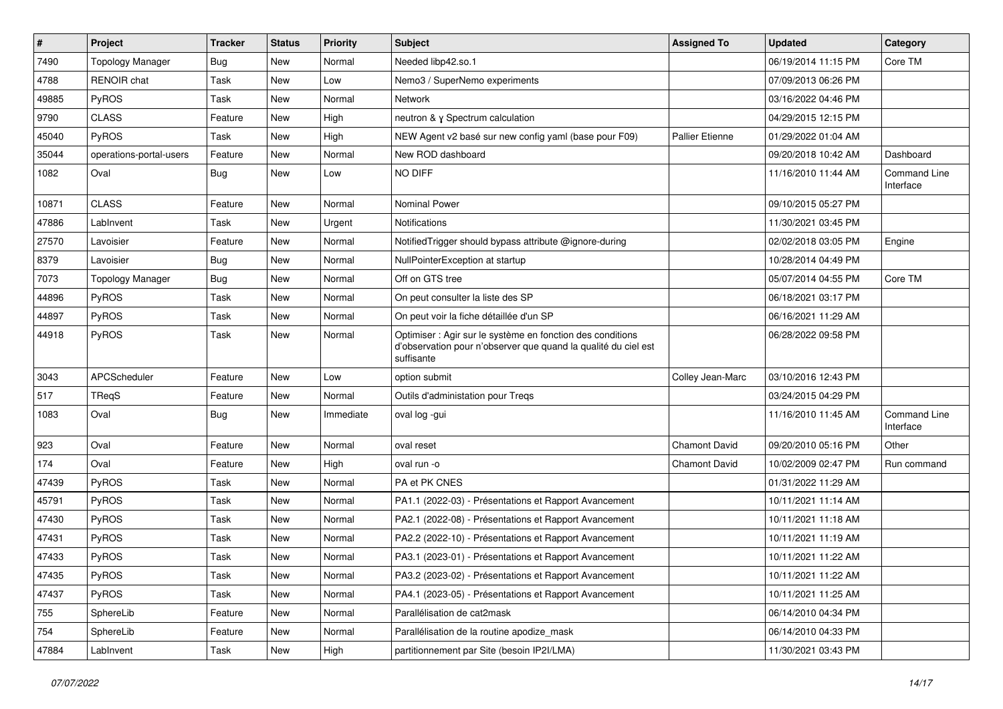| $\vert$ # | Project                 | <b>Tracker</b> | <b>Status</b> | <b>Priority</b> | <b>Subject</b>                                                                                                                             | <b>Assigned To</b>     | <b>Updated</b>      | Category                         |
|-----------|-------------------------|----------------|---------------|-----------------|--------------------------------------------------------------------------------------------------------------------------------------------|------------------------|---------------------|----------------------------------|
| 7490      | <b>Topology Manager</b> | <b>Bug</b>     | New           | Normal          | Needed libp42.so.1                                                                                                                         |                        | 06/19/2014 11:15 PM | Core TM                          |
| 4788      | RENOIR chat             | Task           | New           | Low             | Nemo3 / SuperNemo experiments                                                                                                              |                        | 07/09/2013 06:26 PM |                                  |
| 49885     | <b>PyROS</b>            | Task           | New           | Normal          | <b>Network</b>                                                                                                                             |                        | 03/16/2022 04:46 PM |                                  |
| 9790      | <b>CLASS</b>            | Feature        | New           | High            | neutron & y Spectrum calculation                                                                                                           |                        | 04/29/2015 12:15 PM |                                  |
| 45040     | PyROS                   | Task           | New           | High            | NEW Agent v2 basé sur new config yaml (base pour F09)                                                                                      | <b>Pallier Etienne</b> | 01/29/2022 01:04 AM |                                  |
| 35044     | operations-portal-users | Feature        | New           | Normal          | New ROD dashboard                                                                                                                          |                        | 09/20/2018 10:42 AM | Dashboard                        |
| 1082      | Oval                    | Bug            | New           | Low             | <b>NO DIFF</b>                                                                                                                             |                        | 11/16/2010 11:44 AM | <b>Command Line</b><br>Interface |
| 10871     | <b>CLASS</b>            | Feature        | New           | Normal          | <b>Nominal Power</b>                                                                                                                       |                        | 09/10/2015 05:27 PM |                                  |
| 47886     | LabInvent               | Task           | <b>New</b>    | Urgent          | Notifications                                                                                                                              |                        | 11/30/2021 03:45 PM |                                  |
| 27570     | Lavoisier               | Feature        | <b>New</b>    | Normal          | Notified Trigger should bypass attribute @ignore-during                                                                                    |                        | 02/02/2018 03:05 PM | Engine                           |
| 8379      | Lavoisier               | <b>Bug</b>     | <b>New</b>    | Normal          | NullPointerException at startup                                                                                                            |                        | 10/28/2014 04:49 PM |                                  |
| 7073      | <b>Topology Manager</b> | Bug            | New           | Normal          | Off on GTS tree                                                                                                                            |                        | 05/07/2014 04:55 PM | Core TM                          |
| 44896     | PyROS                   | Task           | New           | Normal          | On peut consulter la liste des SP                                                                                                          |                        | 06/18/2021 03:17 PM |                                  |
| 44897     | PyROS                   | Task           | New           | Normal          | On peut voir la fiche détaillée d'un SP                                                                                                    |                        | 06/16/2021 11:29 AM |                                  |
| 44918     | PyROS                   | Task           | New           | Normal          | Optimiser : Agir sur le système en fonction des conditions<br>d'observation pour n'observer que quand la qualité du ciel est<br>suffisante |                        | 06/28/2022 09:58 PM |                                  |
| 3043      | APCScheduler            | Feature        | <b>New</b>    | Low             | option submit                                                                                                                              | Colley Jean-Marc       | 03/10/2016 12:43 PM |                                  |
| 517       | TReqS                   | Feature        | New           | Normal          | Outils d'administation pour Tregs                                                                                                          |                        | 03/24/2015 04:29 PM |                                  |
| 1083      | Oval                    | <b>Bug</b>     | New           | Immediate       | oval log -gui                                                                                                                              |                        | 11/16/2010 11:45 AM | <b>Command Line</b><br>Interface |
| 923       | Oval                    | Feature        | <b>New</b>    | Normal          | oval reset                                                                                                                                 | <b>Chamont David</b>   | 09/20/2010 05:16 PM | Other                            |
| 174       | Oval                    | Feature        | New           | High            | oval run -o                                                                                                                                | <b>Chamont David</b>   | 10/02/2009 02:47 PM | Run command                      |
| 47439     | PyROS                   | Task           | New           | Normal          | PA et PK CNES                                                                                                                              |                        | 01/31/2022 11:29 AM |                                  |
| 45791     | PyROS                   | Task           | New           | Normal          | PA1.1 (2022-03) - Présentations et Rapport Avancement                                                                                      |                        | 10/11/2021 11:14 AM |                                  |
| 47430     | PyROS                   | Task           | New           | Normal          | PA2.1 (2022-08) - Présentations et Rapport Avancement                                                                                      |                        | 10/11/2021 11:18 AM |                                  |
| 47431     | PyROS                   | Task           | New           | Normal          | PA2.2 (2022-10) - Présentations et Rapport Avancement                                                                                      |                        | 10/11/2021 11:19 AM |                                  |
| 47433     | PyROS                   | Task           | New           | Normal          | PA3.1 (2023-01) - Présentations et Rapport Avancement                                                                                      |                        | 10/11/2021 11:22 AM |                                  |
| 47435     | PyROS                   | Task           | New           | Normal          | PA3.2 (2023-02) - Présentations et Rapport Avancement                                                                                      |                        | 10/11/2021 11:22 AM |                                  |
| 47437     | PyROS                   | Task           | New           | Normal          | PA4.1 (2023-05) - Présentations et Rapport Avancement                                                                                      |                        | 10/11/2021 11:25 AM |                                  |
| 755       | SphereLib               | Feature        | New           | Normal          | Parallélisation de cat2mask                                                                                                                |                        | 06/14/2010 04:34 PM |                                  |
| 754       | SphereLib               | Feature        | New           | Normal          | Parallélisation de la routine apodize_mask                                                                                                 |                        | 06/14/2010 04:33 PM |                                  |
| 47884     | LabInvent               | Task           | New           | High            | partitionnement par Site (besoin IP2I/LMA)                                                                                                 |                        | 11/30/2021 03:43 PM |                                  |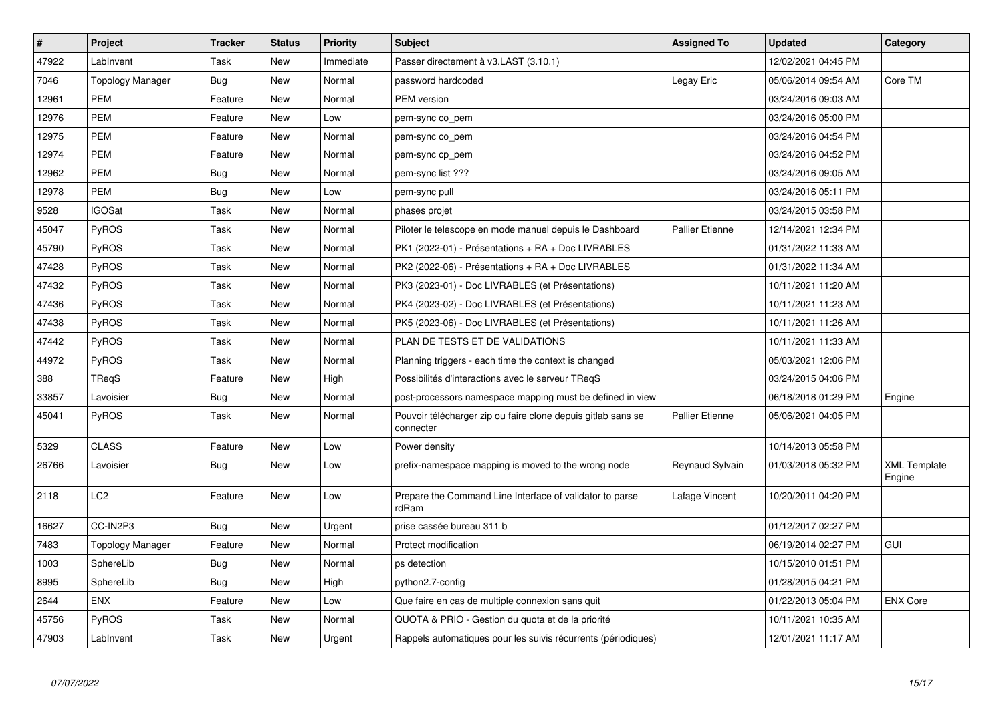| $\vert$ # | Project                 | <b>Tracker</b> | <b>Status</b> | <b>Priority</b> | <b>Subject</b>                                                            | <b>Assigned To</b>     | <b>Updated</b>      | Category                      |
|-----------|-------------------------|----------------|---------------|-----------------|---------------------------------------------------------------------------|------------------------|---------------------|-------------------------------|
| 47922     | LabInvent               | Task           | <b>New</b>    | Immediate       | Passer directement à v3.LAST (3.10.1)                                     |                        | 12/02/2021 04:45 PM |                               |
| 7046      | <b>Topology Manager</b> | <b>Bug</b>     | <b>New</b>    | Normal          | password hardcoded                                                        | Legay Eric             | 05/06/2014 09:54 AM | Core TM                       |
| 12961     | <b>PEM</b>              | Feature        | New           | Normal          | PEM version                                                               |                        | 03/24/2016 09:03 AM |                               |
| 12976     | <b>PEM</b>              | Feature        | <b>New</b>    | Low             | pem-sync co_pem                                                           |                        | 03/24/2016 05:00 PM |                               |
| 12975     | <b>PEM</b>              | Feature        | <b>New</b>    | Normal          | pem-sync co pem                                                           |                        | 03/24/2016 04:54 PM |                               |
| 12974     | <b>PEM</b>              | Feature        | New           | Normal          | pem-sync cp_pem                                                           |                        | 03/24/2016 04:52 PM |                               |
| 12962     | <b>PEM</b>              | Bug            | New           | Normal          | pem-sync list ???                                                         |                        | 03/24/2016 09:05 AM |                               |
| 12978     | <b>PEM</b>              | <b>Bug</b>     | New           | Low             | pem-sync pull                                                             |                        | 03/24/2016 05:11 PM |                               |
| 9528      | <b>IGOSat</b>           | Task           | <b>New</b>    | Normal          | phases projet                                                             |                        | 03/24/2015 03:58 PM |                               |
| 45047     | PyROS                   | Task           | New           | Normal          | Piloter le telescope en mode manuel depuis le Dashboard                   | <b>Pallier Etienne</b> | 12/14/2021 12:34 PM |                               |
| 45790     | PyROS                   | Task           | New           | Normal          | PK1 (2022-01) - Présentations + RA + Doc LIVRABLES                        |                        | 01/31/2022 11:33 AM |                               |
| 47428     | PyROS                   | Task           | New           | Normal          | PK2 (2022-06) - Présentations + RA + Doc LIVRABLES                        |                        | 01/31/2022 11:34 AM |                               |
| 47432     | PyROS                   | Task           | <b>New</b>    | Normal          | PK3 (2023-01) - Doc LIVRABLES (et Présentations)                          |                        | 10/11/2021 11:20 AM |                               |
| 47436     | PyROS                   | Task           | <b>New</b>    | Normal          | PK4 (2023-02) - Doc LIVRABLES (et Présentations)                          |                        | 10/11/2021 11:23 AM |                               |
| 47438     | PyROS                   | Task           | <b>New</b>    | Normal          | PK5 (2023-06) - Doc LIVRABLES (et Présentations)                          |                        | 10/11/2021 11:26 AM |                               |
| 47442     | PyROS                   | Task           | New           | Normal          | PLAN DE TESTS ET DE VALIDATIONS                                           |                        | 10/11/2021 11:33 AM |                               |
| 44972     | <b>PyROS</b>            | Task           | New           | Normal          | Planning triggers - each time the context is changed                      |                        | 05/03/2021 12:06 PM |                               |
| 388       | TRegS                   | Feature        | New           | High            | Possibilités d'interactions avec le serveur TReqS                         |                        | 03/24/2015 04:06 PM |                               |
| 33857     | Lavoisier               | Bug            | New           | Normal          | post-processors namespace mapping must be defined in view                 |                        | 06/18/2018 01:29 PM | Engine                        |
| 45041     | PyROS                   | Task           | <b>New</b>    | Normal          | Pouvoir télécharger zip ou faire clone depuis gitlab sans se<br>connecter | Pallier Etienne        | 05/06/2021 04:05 PM |                               |
| 5329      | <b>CLASS</b>            | Feature        | New           | Low             | Power density                                                             |                        | 10/14/2013 05:58 PM |                               |
| 26766     | Lavoisier               | Bug            | New           | Low             | prefix-namespace mapping is moved to the wrong node                       | Reynaud Sylvain        | 01/03/2018 05:32 PM | <b>XML Template</b><br>Engine |
| 2118      | LC2                     | Feature        | New           | Low             | Prepare the Command Line Interface of validator to parse<br>rdRam         | Lafage Vincent         | 10/20/2011 04:20 PM |                               |
| 16627     | CC-IN2P3                | <b>Bug</b>     | <b>New</b>    | Urgent          | prise cassée bureau 311 b                                                 |                        | 01/12/2017 02:27 PM |                               |
| 7483      | Topology Manager        | Feature        | New           | Normal          | Protect modification                                                      |                        | 06/19/2014 02:27 PM | <b>GUI</b>                    |
| 1003      | SphereLib               | Bug            | New           | Normal          | ps detection                                                              |                        | 10/15/2010 01:51 PM |                               |
| 8995      | SphereLib               | <b>Bug</b>     | New           | High            | python2.7-config                                                          |                        | 01/28/2015 04:21 PM |                               |
| 2644      | ENX                     | Feature        | New           | Low             | Que faire en cas de multiple connexion sans quit                          |                        | 01/22/2013 05:04 PM | <b>ENX Core</b>               |
| 45756     | PyROS                   | Task           | New           | Normal          | QUOTA & PRIO - Gestion du quota et de la priorité                         |                        | 10/11/2021 10:35 AM |                               |
| 47903     | LabInvent               | Task           | <b>New</b>    | Urgent          | Rappels automatiques pour les suivis récurrents (périodiques)             |                        | 12/01/2021 11:17 AM |                               |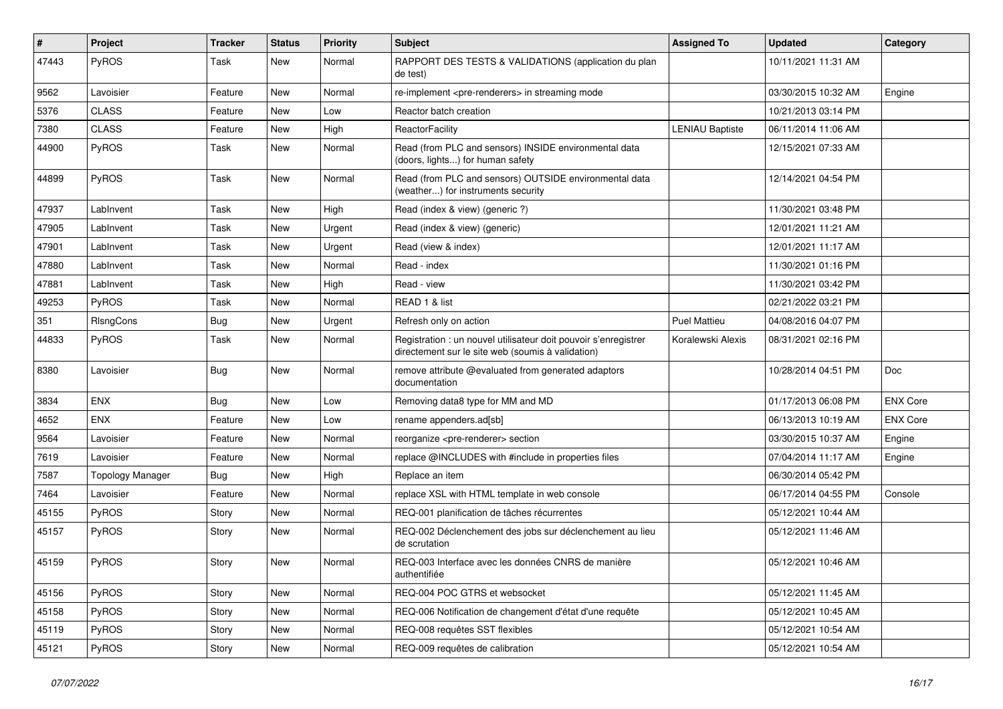| #     | Project                 | <b>Tracker</b> | <b>Status</b> | <b>Priority</b> | <b>Subject</b>                                                                                                       | <b>Assigned To</b>     | <b>Updated</b>      | Category        |
|-------|-------------------------|----------------|---------------|-----------------|----------------------------------------------------------------------------------------------------------------------|------------------------|---------------------|-----------------|
| 47443 | PyROS                   | Task           | New           | Normal          | RAPPORT DES TESTS & VALIDATIONS (application du plan<br>de test)                                                     |                        | 10/11/2021 11:31 AM |                 |
| 9562  | Lavoisier               | Feature        | <b>New</b>    | Normal          | re-implement <pre-renderers> in streaming mode</pre-renderers>                                                       |                        | 03/30/2015 10:32 AM | Engine          |
| 5376  | <b>CLASS</b>            | Feature        | New           | Low             | Reactor batch creation                                                                                               |                        | 10/21/2013 03:14 PM |                 |
| 7380  | <b>CLASS</b>            | Feature        | New           | High            | ReactorFacility                                                                                                      | <b>LENIAU Baptiste</b> | 06/11/2014 11:06 AM |                 |
| 44900 | PyROS                   | Task           | New           | Normal          | Read (from PLC and sensors) INSIDE environmental data<br>(doors, lights) for human safety                            |                        | 12/15/2021 07:33 AM |                 |
| 44899 | PyROS                   | Task           | New           | Normal          | Read (from PLC and sensors) OUTSIDE environmental data<br>(weather) for instruments security                         |                        | 12/14/2021 04:54 PM |                 |
| 47937 | LabInvent               | Task           | New           | High            | Read (index & view) (generic ?)                                                                                      |                        | 11/30/2021 03:48 PM |                 |
| 47905 | LabInvent               | Task           | New           | Urgent          | Read (index & view) (generic)                                                                                        |                        | 12/01/2021 11:21 AM |                 |
| 47901 | LabInvent               | Task           | New           | Urgent          | Read (view & index)                                                                                                  |                        | 12/01/2021 11:17 AM |                 |
| 47880 | LabInvent               | Task           | New           | Normal          | Read - index                                                                                                         |                        | 11/30/2021 01:16 PM |                 |
| 47881 | LabInvent               | Task           | <b>New</b>    | High            | Read - view                                                                                                          |                        | 11/30/2021 03:42 PM |                 |
| 49253 | PyROS                   | Task           | <b>New</b>    | Normal          | READ 1 & list                                                                                                        |                        | 02/21/2022 03:21 PM |                 |
| 351   | RIsngCons               | <b>Bug</b>     | New           | Urgent          | Refresh only on action                                                                                               | <b>Puel Mattieu</b>    | 04/08/2016 04:07 PM |                 |
| 44833 | PyROS                   | Task           | New           | Normal          | Registration : un nouvel utilisateur doit pouvoir s'enregistrer<br>directement sur le site web (soumis à validation) | Koralewski Alexis      | 08/31/2021 02:16 PM |                 |
| 8380  | Lavoisier               | <b>Bug</b>     | New           | Normal          | remove attribute @evaluated from generated adaptors<br>documentation                                                 |                        | 10/28/2014 04:51 PM | Doc             |
| 3834  | <b>ENX</b>              | <b>Bug</b>     | New           | Low             | Removing data8 type for MM and MD                                                                                    |                        | 01/17/2013 06:08 PM | <b>ENX Core</b> |
| 4652  | <b>ENX</b>              | Feature        | New           | Low             | rename appenders.ad[sb]                                                                                              |                        | 06/13/2013 10:19 AM | <b>ENX Core</b> |
| 9564  | Lavoisier               | Feature        | New           | Normal          | reorganize <pre-renderer> section</pre-renderer>                                                                     |                        | 03/30/2015 10:37 AM | Engine          |
| 7619  | Lavoisier               | Feature        | New           | Normal          | replace @INCLUDES with #include in properties files                                                                  |                        | 07/04/2014 11:17 AM | Engine          |
| 7587  | <b>Topology Manager</b> | Bug            | New           | High            | Replace an item                                                                                                      |                        | 06/30/2014 05:42 PM |                 |
| 7464  | Lavoisier               | Feature        | New           | Normal          | replace XSL with HTML template in web console                                                                        |                        | 06/17/2014 04:55 PM | Console         |
| 45155 | PyROS                   | Story          | New           | Normal          | REQ-001 planification de tâches récurrentes                                                                          |                        | 05/12/2021 10:44 AM |                 |
| 45157 | PyROS                   | Story          | New           | Normal          | REQ-002 Déclenchement des jobs sur déclenchement au lieu<br>de scrutation                                            |                        | 05/12/2021 11:46 AM |                 |
| 45159 | PyROS                   | Story          | New           | Normal          | REQ-003 Interface avec les données CNRS de manière<br>authentifiée                                                   |                        | 05/12/2021 10:46 AM |                 |
| 45156 | PyROS                   | Story          | New           | Normal          | REQ-004 POC GTRS et websocket                                                                                        |                        | 05/12/2021 11:45 AM |                 |
| 45158 | PyROS                   | Story          | New           | Normal          | REQ-006 Notification de changement d'état d'une requête                                                              |                        | 05/12/2021 10:45 AM |                 |
| 45119 | PyROS                   | Story          | New           | Normal          | REQ-008 requêtes SST flexibles                                                                                       |                        | 05/12/2021 10:54 AM |                 |
| 45121 | PyROS                   | Story          | New           | Normal          | REQ-009 requêtes de calibration                                                                                      |                        | 05/12/2021 10:54 AM |                 |